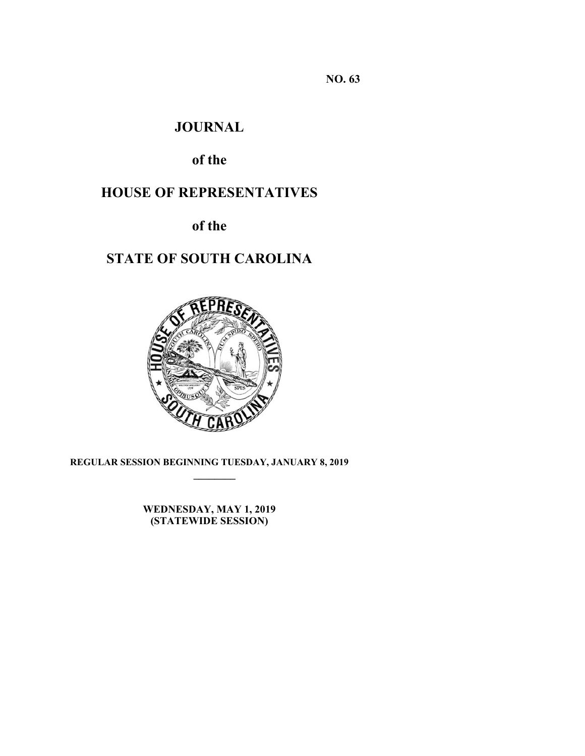**NO. 63** 

# **JOURNAL**

# **of the**

# **HOUSE OF REPRESENTATIVES**

**of the** 

# **STATE OF SOUTH CAROLINA**



**REGULAR SESSION BEGINNING TUESDAY, JANUARY 8, 2019 \_\_\_\_\_\_\_\_**

> **WEDNESDAY, MAY 1, 2019 (STATEWIDE SESSION)**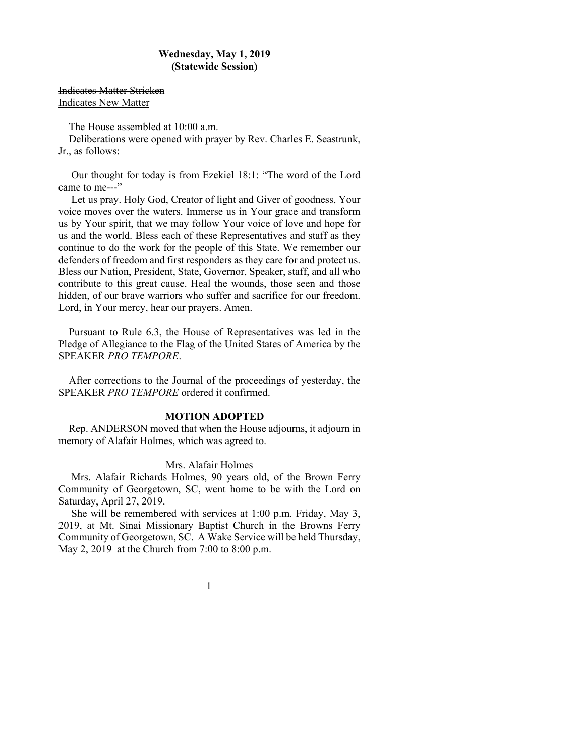# **Wednesday, May 1, 2019 (Statewide Session)**

Indicates Matter Stricken Indicates New Matter

The House assembled at 10:00 a.m.

Deliberations were opened with prayer by Rev. Charles E. Seastrunk, Jr., as follows:

 Our thought for today is from Ezekiel 18:1: "The word of the Lord came to me---"

 Let us pray. Holy God, Creator of light and Giver of goodness, Your voice moves over the waters. Immerse us in Your grace and transform us by Your spirit, that we may follow Your voice of love and hope for us and the world. Bless each of these Representatives and staff as they continue to do the work for the people of this State. We remember our defenders of freedom and first responders as they care for and protect us. Bless our Nation, President, State, Governor, Speaker, staff, and all who contribute to this great cause. Heal the wounds, those seen and those hidden, of our brave warriors who suffer and sacrifice for our freedom. Lord, in Your mercy, hear our prayers. Amen.

Pursuant to Rule 6.3, the House of Representatives was led in the Pledge of Allegiance to the Flag of the United States of America by the SPEAKER *PRO TEMPORE*.

After corrections to the Journal of the proceedings of yesterday, the SPEAKER *PRO TEMPORE* ordered it confirmed.

# **MOTION ADOPTED**

Rep. ANDERSON moved that when the House adjourns, it adjourn in memory of Alafair Holmes, which was agreed to.

#### Mrs. Alafair Holmes

 Mrs. Alafair Richards Holmes, 90 years old, of the Brown Ferry Community of Georgetown, SC, went home to be with the Lord on Saturday, April 27, 2019.

 She will be remembered with services at 1:00 p.m. Friday, May 3, 2019, at Mt. Sinai Missionary Baptist Church in the Browns Ferry Community of Georgetown, SC. A Wake Service will be held Thursday, May 2, 2019 at the Church from 7:00 to 8:00 p.m.

1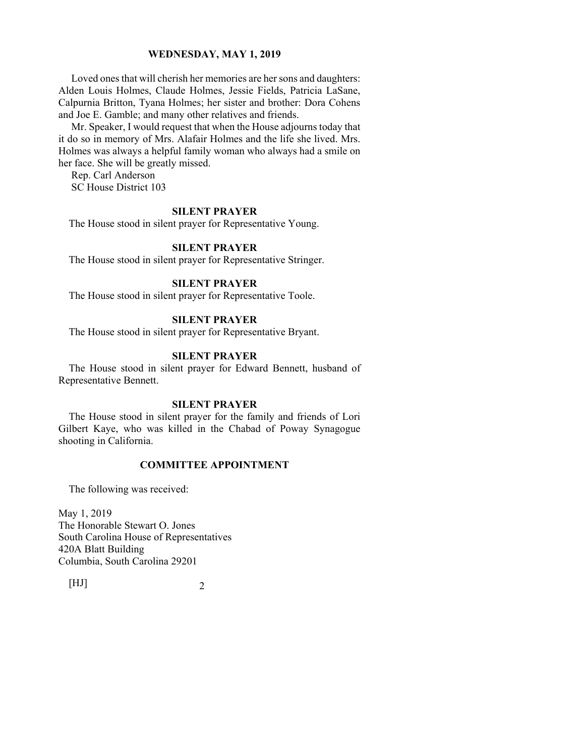Loved ones that will cherish her memories are her sons and daughters: Alden Louis Holmes, Claude Holmes, Jessie Fields, Patricia LaSane, Calpurnia Britton, Tyana Holmes; her sister and brother: Dora Cohens and Joe E. Gamble; and many other relatives and friends.

 Mr. Speaker, I would request that when the House adjourns today that it do so in memory of Mrs. Alafair Holmes and the life she lived. Mrs. Holmes was always a helpful family woman who always had a smile on her face. She will be greatly missed.

 Rep. Carl Anderson SC House District 103

# **SILENT PRAYER**

The House stood in silent prayer for Representative Young.

# **SILENT PRAYER**

The House stood in silent prayer for Representative Stringer.

# **SILENT PRAYER**

The House stood in silent prayer for Representative Toole.

# **SILENT PRAYER**

The House stood in silent prayer for Representative Bryant.

#### **SILENT PRAYER**

The House stood in silent prayer for Edward Bennett, husband of Representative Bennett.

# **SILENT PRAYER**

The House stood in silent prayer for the family and friends of Lori Gilbert Kaye, who was killed in the Chabad of Poway Synagogue shooting in California.

# **COMMITTEE APPOINTMENT**

The following was received:

May 1, 2019 The Honorable Stewart O. Jones South Carolina House of Representatives 420A Blatt Building Columbia, South Carolina 29201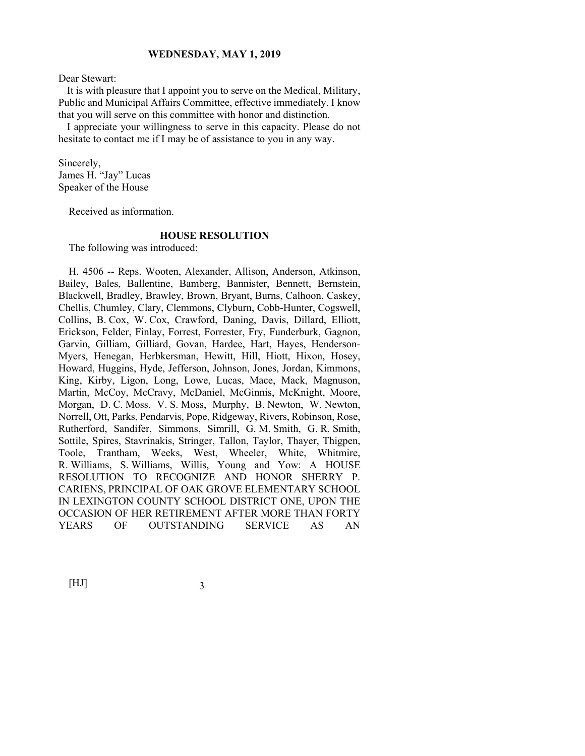Dear Stewart:

 It is with pleasure that I appoint you to serve on the Medical, Military, Public and Municipal Affairs Committee, effective immediately. I know that you will serve on this committee with honor and distinction.

 I appreciate your willingness to serve in this capacity. Please do not hesitate to contact me if I may be of assistance to you in any way.

Sincerely, James H. "Jay" Lucas Speaker of the House

Received as information.

# **HOUSE RESOLUTION**

The following was introduced:

H. 4506 -- Reps. Wooten, Alexander, Allison, Anderson, Atkinson, Bailey, Bales, Ballentine, Bamberg, Bannister, Bennett, Bernstein, Blackwell, Bradley, Brawley, Brown, Bryant, Burns, Calhoon, Caskey, Chellis, Chumley, Clary, Clemmons, Clyburn, Cobb-Hunter, Cogswell, Collins, B. Cox, W. Cox, Crawford, Daning, Davis, Dillard, Elliott, Erickson, Felder, Finlay, Forrest, Forrester, Fry, Funderburk, Gagnon, Garvin, Gilliam, Gilliard, Govan, Hardee, Hart, Hayes, Henderson-Myers, Henegan, Herbkersman, Hewitt, Hill, Hiott, Hixon, Hosey, Howard, Huggins, Hyde, Jefferson, Johnson, Jones, Jordan, Kimmons, King, Kirby, Ligon, Long, Lowe, Lucas, Mace, Mack, Magnuson, Martin, McCoy, McCravy, McDaniel, McGinnis, McKnight, Moore, Morgan, D. C. Moss, V. S. Moss, Murphy, B. Newton, W. Newton, Norrell, Ott, Parks, Pendarvis, Pope, Ridgeway, Rivers, Robinson, Rose, Rutherford, Sandifer, Simmons, Simrill, G. M. Smith, G. R. Smith, Sottile, Spires, Stavrinakis, Stringer, Tallon, Taylor, Thayer, Thigpen, Toole, Trantham, Weeks, West, Wheeler, White, Whitmire, R. Williams, S. Williams, Willis, Young and Yow: A HOUSE RESOLUTION TO RECOGNIZE AND HONOR SHERRY P. CARIENS, PRINCIPAL OF OAK GROVE ELEMENTARY SCHOOL IN LEXINGTON COUNTY SCHOOL DISTRICT ONE, UPON THE OCCASION OF HER RETIREMENT AFTER MORE THAN FORTY YEARS OF OUTSTANDING SERVICE AS AN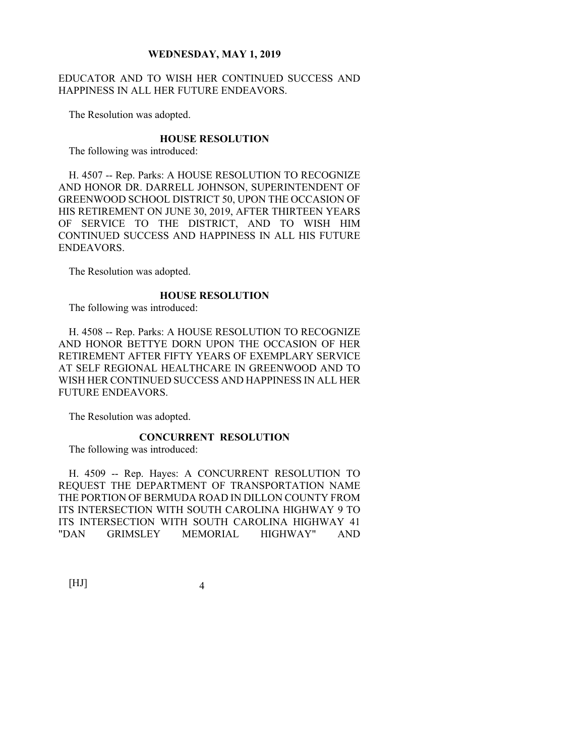# EDUCATOR AND TO WISH HER CONTINUED SUCCESS AND HAPPINESS IN ALL HER FUTURE ENDEAVORS.

The Resolution was adopted.

#### **HOUSE RESOLUTION**

The following was introduced:

H. 4507 -- Rep. Parks: A HOUSE RESOLUTION TO RECOGNIZE AND HONOR DR. DARRELL JOHNSON, SUPERINTENDENT OF GREENWOOD SCHOOL DISTRICT 50, UPON THE OCCASION OF HIS RETIREMENT ON JUNE 30, 2019, AFTER THIRTEEN YEARS OF SERVICE TO THE DISTRICT, AND TO WISH HIM CONTINUED SUCCESS AND HAPPINESS IN ALL HIS FUTURE ENDEAVORS.

The Resolution was adopted.

#### **HOUSE RESOLUTION**

The following was introduced:

H. 4508 -- Rep. Parks: A HOUSE RESOLUTION TO RECOGNIZE AND HONOR BETTYE DORN UPON THE OCCASION OF HER RETIREMENT AFTER FIFTY YEARS OF EXEMPLARY SERVICE AT SELF REGIONAL HEALTHCARE IN GREENWOOD AND TO WISH HER CONTINUED SUCCESS AND HAPPINESS IN ALL HER FUTURE ENDEAVORS.

The Resolution was adopted.

# **CONCURRENT RESOLUTION**

The following was introduced:

H. 4509 -- Rep. Hayes: A CONCURRENT RESOLUTION TO REQUEST THE DEPARTMENT OF TRANSPORTATION NAME THE PORTION OF BERMUDA ROAD IN DILLON COUNTY FROM ITS INTERSECTION WITH SOUTH CAROLINA HIGHWAY 9 TO ITS INTERSECTION WITH SOUTH CAROLINA HIGHWAY 41 "DAN GRIMSLEY MEMORIAL HIGHWAY" AND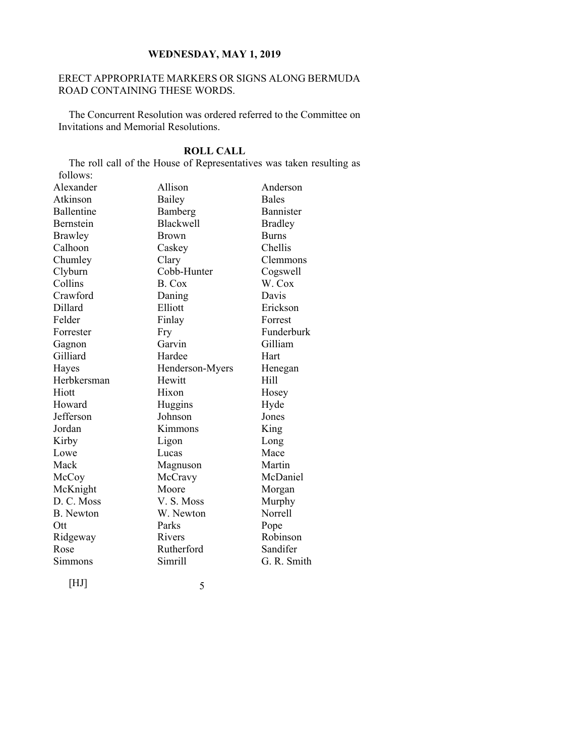# ERECT APPROPRIATE MARKERS OR SIGNS ALONG BERMUDA ROAD CONTAINING THESE WORDS.

The Concurrent Resolution was ordered referred to the Committee on Invitations and Memorial Resolutions.

# **ROLL CALL**

The roll call of the House of Representatives was taken resulting as follows: Alexander Allison Anderson Atkinson Bailey Bales<br>
Ballentine Bamberg Banni Ballentine Bamberg Bannister Bernstein Blackwell Bradley Brawley Brown Burns Calhoon Caskey Chellis Chumley Clary Clemmons Clyburn Cobb-Hunter Cogswell<br>Collins B. Cox W. Cox B. Cox W. Cox Crawford Daning Davis Dillard Elliott Erickson Felder Finlay Forrest Forrester Fry Funderburk Gagnon Garvin Gilliam Gilliard Hardee Hart Hayes Henderson-Myers Henegan Herbkersman Hewitt Hill Hiott Hixon Hosey Howard Huggins Hyde Jefferson Johnson Jones Jordan Kimmons King Kirby Ligon Long Lowe Lucas Mace Mack Magnuson Martin McCoy McCravy McDaniel McKnight Moore Morgan D. C. Moss V. S. Moss Murphy

[HJ] 5

B. Newton W. Newton Norrell Ott Parks Pope Ridgeway Rivers Robinson Rose Rutherford Sandifer Simmons Simrill G. R. Smith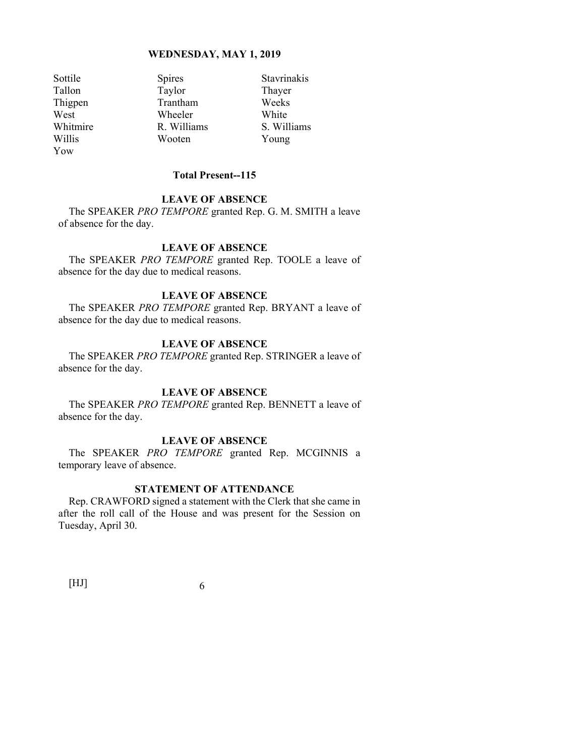Yow

Sottile Spires Stavrinakis<br>
Stavrinakis<br>
Tallon Taylor Thayer Taylor Thayer Thigpen Trantham Weeks West Wheeler White Whitmire R. Williams S. Williams Willis Wooten Young

# **Total Present--115**

# **LEAVE OF ABSENCE**

The SPEAKER *PRO TEMPORE* granted Rep. G. M. SMITH a leave of absence for the day.

# **LEAVE OF ABSENCE**

The SPEAKER *PRO TEMPORE* granted Rep. TOOLE a leave of absence for the day due to medical reasons.

# **LEAVE OF ABSENCE**

The SPEAKER *PRO TEMPORE* granted Rep. BRYANT a leave of absence for the day due to medical reasons.

# **LEAVE OF ABSENCE**

The SPEAKER *PRO TEMPORE* granted Rep. STRINGER a leave of absence for the day.

# **LEAVE OF ABSENCE**

The SPEAKER *PRO TEMPORE* granted Rep. BENNETT a leave of absence for the day.

# **LEAVE OF ABSENCE**

The SPEAKER *PRO TEMPORE* granted Rep. MCGINNIS a temporary leave of absence.

# **STATEMENT OF ATTENDANCE**

Rep. CRAWFORD signed a statement with the Clerk that she came in after the roll call of the House and was present for the Session on Tuesday, April 30.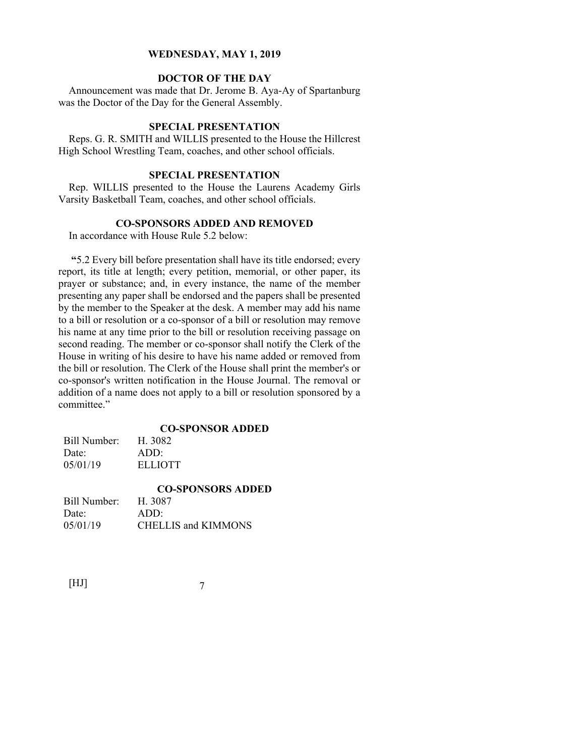# **DOCTOR OF THE DAY**

Announcement was made that Dr. Jerome B. Aya-Ay of Spartanburg was the Doctor of the Day for the General Assembly.

# **SPECIAL PRESENTATION**

Reps. G. R. SMITH and WILLIS presented to the House the Hillcrest High School Wrestling Team, coaches, and other school officials.

# **SPECIAL PRESENTATION**

Rep. WILLIS presented to the House the Laurens Academy Girls Varsity Basketball Team, coaches, and other school officials.

# **CO-SPONSORS ADDED AND REMOVED**

In accordance with House Rule 5.2 below:

**"**5.2 Every bill before presentation shall have its title endorsed; every report, its title at length; every petition, memorial, or other paper, its prayer or substance; and, in every instance, the name of the member presenting any paper shall be endorsed and the papers shall be presented by the member to the Speaker at the desk. A member may add his name to a bill or resolution or a co-sponsor of a bill or resolution may remove his name at any time prior to the bill or resolution receiving passage on second reading. The member or co-sponsor shall notify the Clerk of the House in writing of his desire to have his name added or removed from the bill or resolution. The Clerk of the House shall print the member's or co-sponsor's written notification in the House Journal. The removal or addition of a name does not apply to a bill or resolution sponsored by a committee."

#### **CO-SPONSOR ADDED**

Bill Number: H. 3082 Date: ADD: 05/01/19 ELLIOTT

|              | <b>CO-SPONSORS ADDED</b>   |  |
|--------------|----------------------------|--|
| Bill Number: | H. 3087                    |  |
| Date:        | ADD:                       |  |
| 05/01/19     | <b>CHELLIS and KIMMONS</b> |  |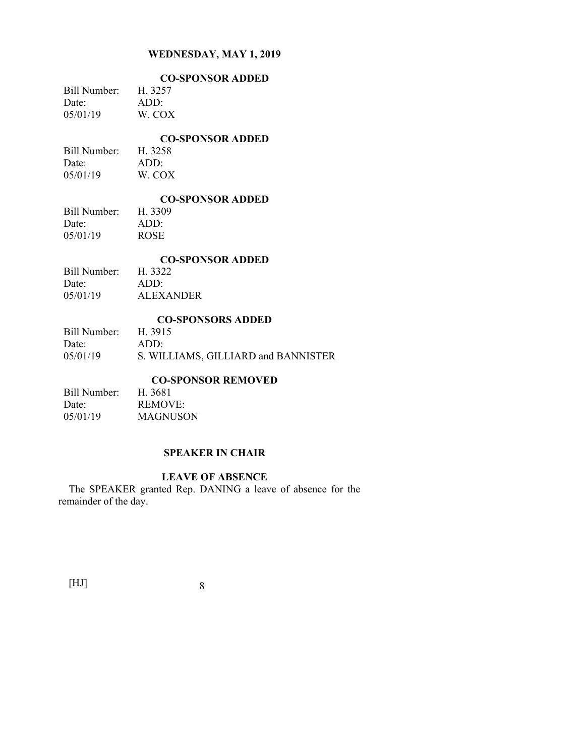|              | <b>CO-SPONSOR ADDED</b> |  |
|--------------|-------------------------|--|
| Bill Number: | H. 3257                 |  |
| Date:        | ADD:                    |  |
| 05/01/19     | W. COX                  |  |
|              |                         |  |

# **CO-SPONSOR ADDED**

Bill Number: H. 3258 Date: ADD:<br>05/01/19 W. COX 05/01/19

#### **CO-SPONSOR ADDED**

Bill Number: H. 3309 Date: ADD: 05/01/19 ROSE

#### **CO-SPONSOR ADDED**

| Bill Number: | H. 3322          |
|--------------|------------------|
| Date:        | ADD:             |
| 05/01/19     | <b>ALEXANDER</b> |

#### **CO-SPONSORS ADDED**

| Bill Number: H. 3915 |                                     |
|----------------------|-------------------------------------|
| Date:                | ADD:                                |
| 05/01/19             | S. WILLIAMS, GILLIARD and BANNISTER |

# **CO-SPONSOR REMOVED**

| Bill Number: | H. 3681  |
|--------------|----------|
| Date:        | REMOVE:  |
| 05/01/19     | MAGNUSON |

# **SPEAKER IN CHAIR**

# **LEAVE OF ABSENCE**

The SPEAKER granted Rep. DANING a leave of absence for the remainder of the day.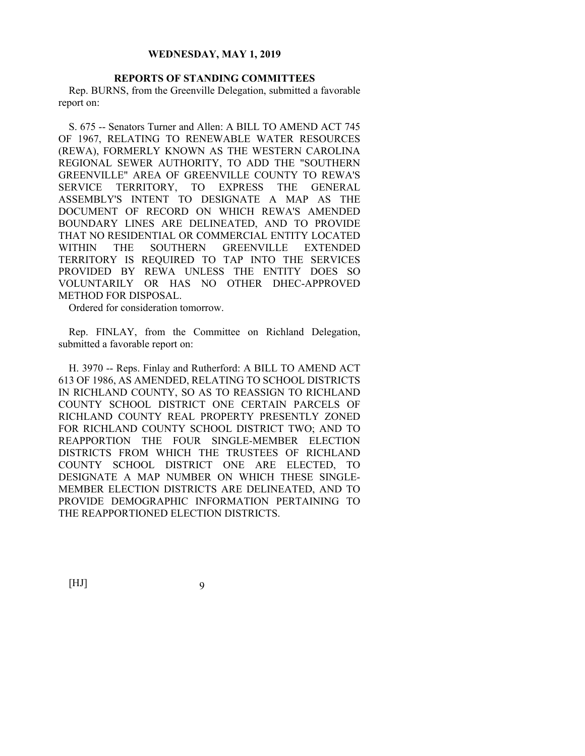#### **REPORTS OF STANDING COMMITTEES**

Rep. BURNS, from the Greenville Delegation, submitted a favorable report on:

S. 675 -- Senators Turner and Allen: A BILL TO AMEND ACT 745 OF 1967, RELATING TO RENEWABLE WATER RESOURCES (REWA), FORMERLY KNOWN AS THE WESTERN CAROLINA REGIONAL SEWER AUTHORITY, TO ADD THE "SOUTHERN GREENVILLE" AREA OF GREENVILLE COUNTY TO REWA'S SERVICE TERRITORY, TO EXPRESS THE GENERAL ASSEMBLY'S INTENT TO DESIGNATE A MAP AS THE DOCUMENT OF RECORD ON WHICH REWA'S AMENDED BOUNDARY LINES ARE DELINEATED, AND TO PROVIDE THAT NO RESIDENTIAL OR COMMERCIAL ENTITY LOCATED WITHIN THE SOUTHERN GREENVILLE EXTENDED TERRITORY IS REQUIRED TO TAP INTO THE SERVICES PROVIDED BY REWA UNLESS THE ENTITY DOES SO VOLUNTARILY OR HAS NO OTHER DHEC-APPROVED METHOD FOR DISPOSAL.

Ordered for consideration tomorrow.

Rep. FINLAY, from the Committee on Richland Delegation, submitted a favorable report on:

H. 3970 -- Reps. Finlay and Rutherford: A BILL TO AMEND ACT 613 OF 1986, AS AMENDED, RELATING TO SCHOOL DISTRICTS IN RICHLAND COUNTY, SO AS TO REASSIGN TO RICHLAND COUNTY SCHOOL DISTRICT ONE CERTAIN PARCELS OF RICHLAND COUNTY REAL PROPERTY PRESENTLY ZONED FOR RICHLAND COUNTY SCHOOL DISTRICT TWO; AND TO REAPPORTION THE FOUR SINGLE-MEMBER ELECTION DISTRICTS FROM WHICH THE TRUSTEES OF RICHLAND COUNTY SCHOOL DISTRICT ONE ARE ELECTED, TO DESIGNATE A MAP NUMBER ON WHICH THESE SINGLE-MEMBER ELECTION DISTRICTS ARE DELINEATED, AND TO PROVIDE DEMOGRAPHIC INFORMATION PERTAINING TO THE REAPPORTIONED ELECTION DISTRICTS.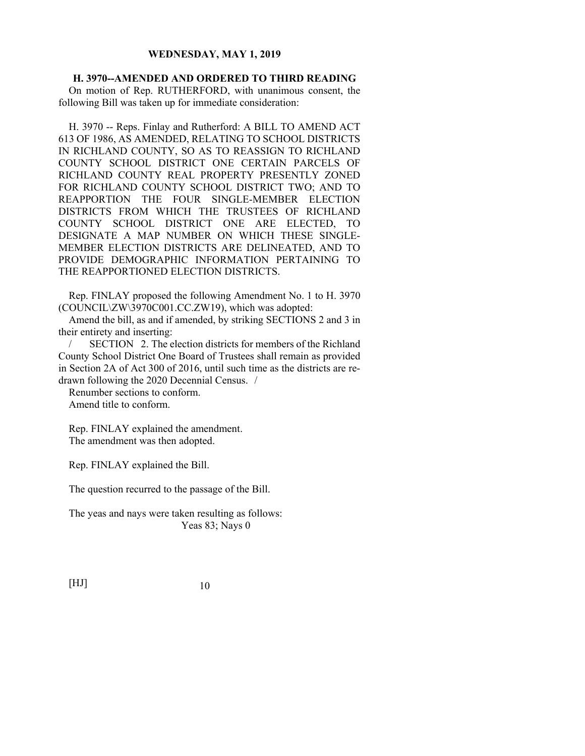**H. 3970--AMENDED AND ORDERED TO THIRD READING**  On motion of Rep. RUTHERFORD, with unanimous consent, the following Bill was taken up for immediate consideration:

H. 3970 -- Reps. Finlay and Rutherford: A BILL TO AMEND ACT 613 OF 1986, AS AMENDED, RELATING TO SCHOOL DISTRICTS IN RICHLAND COUNTY, SO AS TO REASSIGN TO RICHLAND COUNTY SCHOOL DISTRICT ONE CERTAIN PARCELS OF RICHLAND COUNTY REAL PROPERTY PRESENTLY ZONED FOR RICHLAND COUNTY SCHOOL DISTRICT TWO; AND TO REAPPORTION THE FOUR SINGLE-MEMBER ELECTION DISTRICTS FROM WHICH THE TRUSTEES OF RICHLAND COUNTY SCHOOL DISTRICT ONE ARE ELECTED, TO DESIGNATE A MAP NUMBER ON WHICH THESE SINGLE-MEMBER ELECTION DISTRICTS ARE DELINEATED, AND TO PROVIDE DEMOGRAPHIC INFORMATION PERTAINING TO THE REAPPORTIONED ELECTION DISTRICTS.

Rep. FINLAY proposed the following Amendment No. 1 to H. 3970 (COUNCIL\ZW\3970C001.CC.ZW19), which was adopted:

Amend the bill, as and if amended, by striking SECTIONS 2 and 3 in their entirety and inserting:

SECTION 2. The election districts for members of the Richland County School District One Board of Trustees shall remain as provided in Section 2A of Act 300 of 2016, until such time as the districts are redrawn following the 2020 Decennial Census. /

Renumber sections to conform. Amend title to conform.

Rep. FINLAY explained the amendment. The amendment was then adopted.

Rep. FINLAY explained the Bill.

The question recurred to the passage of the Bill.

The yeas and nays were taken resulting as follows: Yeas 83; Nays 0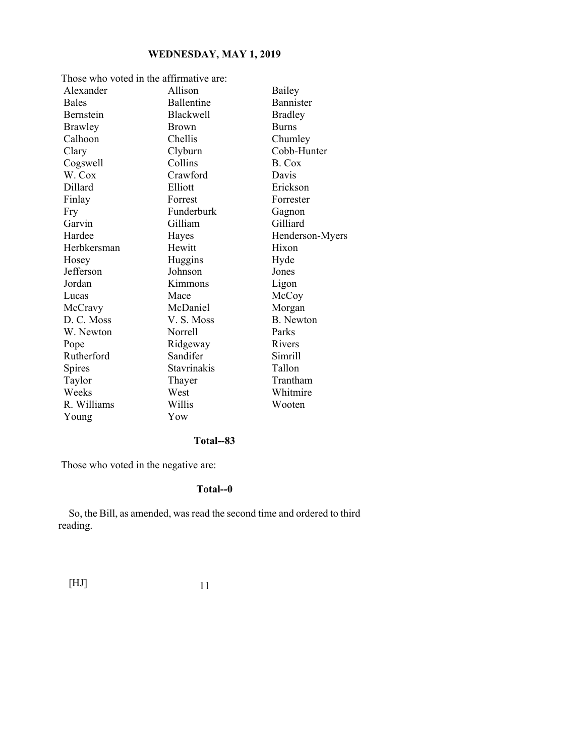| Those who voted in the affirmative are: |                    |                  |  |
|-----------------------------------------|--------------------|------------------|--|
| Alexander                               | Allison            | Bailey           |  |
| <b>Bales</b>                            | Ballentine         | Bannister        |  |
| Bernstein                               | Blackwell          | <b>Bradley</b>   |  |
| Brawley                                 | <b>Brown</b>       | <b>Burns</b>     |  |
| Calhoon                                 | Chellis            | Chumley          |  |
| Clary                                   | Clyburn            | Cobb-Hunter      |  |
| Cogswell                                | Collins            | B. Cox           |  |
| W. Cox                                  | Crawford           | Davis            |  |
| Dillard                                 | Elliott            | Erickson         |  |
| Finlay                                  | Forrest            | Forrester        |  |
| Fry                                     | Funderburk         | Gagnon           |  |
| Garvin                                  | Gilliam            | Gilliard         |  |
| Hardee                                  | Hayes              | Henderson-Myers  |  |
| Herbkersman                             | Hewitt             | Hixon            |  |
| Hosey                                   | Huggins            | Hyde             |  |
| Jefferson                               | Johnson            | Jones            |  |
| Jordan                                  | Kimmons            | Ligon            |  |
| Lucas                                   | Mace               | McCoy            |  |
| McCravy                                 | McDaniel           | Morgan           |  |
| D. C. Moss                              | V.S. Moss          | <b>B.</b> Newton |  |
| W. Newton                               | Norrell            | Parks            |  |
| Pope                                    | Ridgeway           | Rivers           |  |
| Rutherford                              | Sandifer           | Simrill          |  |
| Spires                                  | <b>Stavrinakis</b> | Tallon           |  |
| Taylor                                  | Thayer             | Trantham         |  |
| Weeks                                   | West               | Whitmire         |  |
| R. Williams                             | Willis             | Wooten           |  |
| Young                                   | Yow                |                  |  |

# **Total--83**

Those who voted in the negative are:

# **Total--0**

So, the Bill, as amended, was read the second time and ordered to third reading.

| $[\mathrm{HJ}]$ |  |
|-----------------|--|
|                 |  |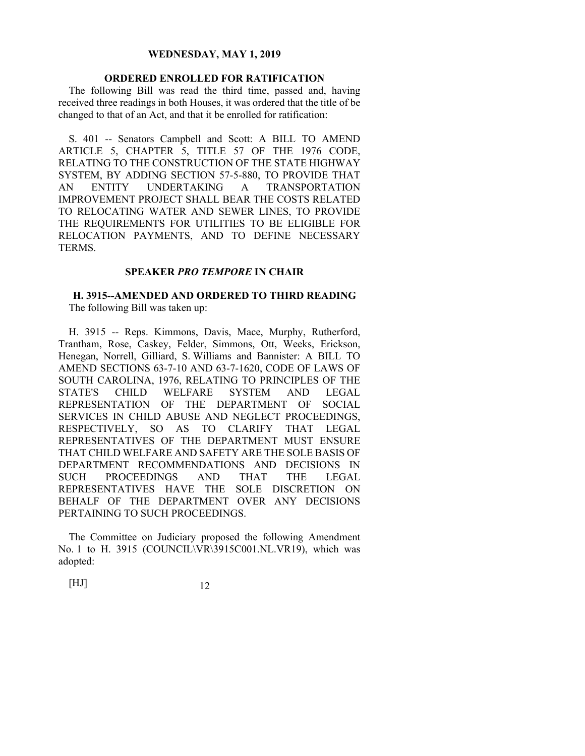# **ORDERED ENROLLED FOR RATIFICATION**

The following Bill was read the third time, passed and, having received three readings in both Houses, it was ordered that the title of be changed to that of an Act, and that it be enrolled for ratification:

S. 401 -- Senators Campbell and Scott: A BILL TO AMEND ARTICLE 5, CHAPTER 5, TITLE 57 OF THE 1976 CODE, RELATING TO THE CONSTRUCTION OF THE STATE HIGHWAY SYSTEM, BY ADDING SECTION 57-5-880, TO PROVIDE THAT AN ENTITY UNDERTAKING A TRANSPORTATION IMPROVEMENT PROJECT SHALL BEAR THE COSTS RELATED TO RELOCATING WATER AND SEWER LINES, TO PROVIDE THE REQUIREMENTS FOR UTILITIES TO BE ELIGIBLE FOR RELOCATION PAYMENTS, AND TO DEFINE NECESSARY TERMS.

#### **SPEAKER** *PRO TEMPORE* **IN CHAIR**

# **H. 3915--AMENDED AND ORDERED TO THIRD READING**

The following Bill was taken up:

H. 3915 -- Reps. Kimmons, Davis, Mace, Murphy, Rutherford, Trantham, Rose, Caskey, Felder, Simmons, Ott, Weeks, Erickson, Henegan, Norrell, Gilliard, S. Williams and Bannister: A BILL TO AMEND SECTIONS 63-7-10 AND 63-7-1620, CODE OF LAWS OF SOUTH CAROLINA, 1976, RELATING TO PRINCIPLES OF THE STATE'S CHILD WELFARE SYSTEM AND LEGAL REPRESENTATION OF THE DEPARTMENT OF SOCIAL SERVICES IN CHILD ABUSE AND NEGLECT PROCEEDINGS, RESPECTIVELY, SO AS TO CLARIFY THAT LEGAL REPRESENTATIVES OF THE DEPARTMENT MUST ENSURE THAT CHILD WELFARE AND SAFETY ARE THE SOLE BASIS OF DEPARTMENT RECOMMENDATIONS AND DECISIONS IN SUCH PROCEEDINGS AND THAT THE LEGAL REPRESENTATIVES HAVE THE SOLE DISCRETION ON BEHALF OF THE DEPARTMENT OVER ANY DECISIONS PERTAINING TO SUCH PROCEEDINGS.

The Committee on Judiciary proposed the following Amendment No. 1 to H. 3915 (COUNCIL\VR\3915C001.NL.VR19), which was adopted: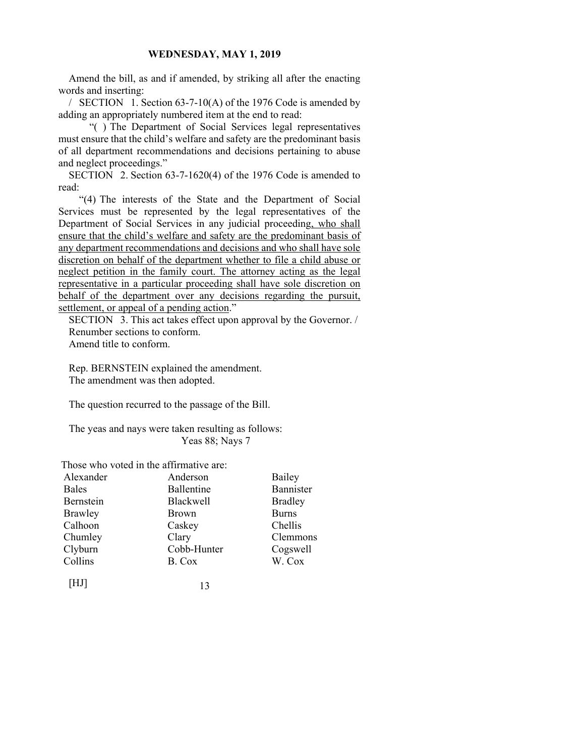Amend the bill, as and if amended, by striking all after the enacting words and inserting:

/ SECTION 1. Section 63-7-10(A) of the 1976 Code is amended by adding an appropriately numbered item at the end to read:

 "( ) The Department of Social Services legal representatives must ensure that the child's welfare and safety are the predominant basis of all department recommendations and decisions pertaining to abuse and neglect proceedings."

SECTION 2. Section 63-7-1620(4) of the 1976 Code is amended to read:

 "(4) The interests of the State and the Department of Social Services must be represented by the legal representatives of the Department of Social Services in any judicial proceeding, who shall ensure that the child's welfare and safety are the predominant basis of any department recommendations and decisions and who shall have sole discretion on behalf of the department whether to file a child abuse or neglect petition in the family court. The attorney acting as the legal representative in a particular proceeding shall have sole discretion on behalf of the department over any decisions regarding the pursuit, settlement, or appeal of a pending action."

SECTION 3. This act takes effect upon approval by the Governor. / Renumber sections to conform.

Amend title to conform.

Rep. BERNSTEIN explained the amendment. The amendment was then adopted.

The question recurred to the passage of the Bill.

The yeas and nays were taken resulting as follows: Yeas 88; Nays 7

Those who voted in the affirmative are:

| Alexander    | Anderson     | Bailey         |
|--------------|--------------|----------------|
| <b>Bales</b> | Ballentine   | Bannister      |
| Bernstein    | Blackwell    | <b>Bradley</b> |
| Brawley      | <b>Brown</b> | <b>Burns</b>   |
| Calhoon      | Caskey       | Chellis        |
| Chumley      | Clary        | Clemmons       |
| Clyburn      | Cobb-Hunter  | Cogswell       |
| Collins      | B. Cox       | W. Cox         |
| IHJ I        |              |                |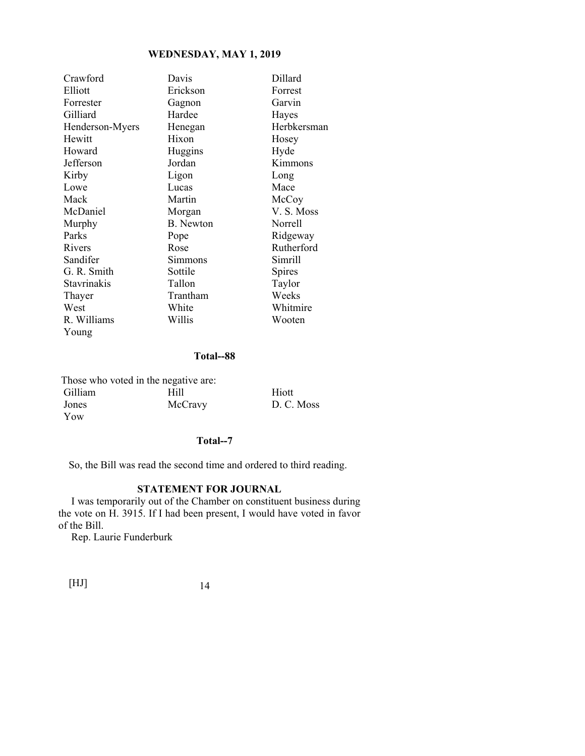| Crawford        | Davis            | Dillard     |
|-----------------|------------------|-------------|
| Elliott         | Erickson         | Forrest     |
| Forrester       | Gagnon           | Garvin      |
| Gilliard        | Hardee           | Hayes       |
| Henderson-Myers | Henegan          | Herbkersman |
| Hewitt          | Hixon            | Hosey       |
| Howard          | Huggins          | Hyde        |
| Jefferson       | Jordan           | Kimmons     |
| Kirby           | Ligon            | Long        |
| Lowe            | Lucas            | Mace        |
| Mack            | Martin           | McCoy       |
| McDaniel        | Morgan           | V.S. Moss   |
| Murphy          | <b>B.</b> Newton | Norrell     |
| Parks           | Pope             | Ridgeway    |
| Rivers          | Rose             | Rutherford  |
| Sandifer        | Simmons          | Simrill     |
| G. R. Smith     | Sottile          | Spires      |
| Stavrinakis     | Tallon           | Taylor      |
| Thayer          | Trantham         | Weeks       |
| West            | White            | Whitmire    |
| R. Williams     | Willis           | Wooten      |
| Young           |                  |             |

## **Total--88**

|                | Those who voted in the negative are: |            |
|----------------|--------------------------------------|------------|
| <b>Gilliam</b> | Hill                                 | Hiott      |
| Jones          | McCravy                              | D. C. Moss |
| Yow            |                                      |            |

# **Total--7**

So, the Bill was read the second time and ordered to third reading.

# **STATEMENT FOR JOURNAL**

 I was temporarily out of the Chamber on constituent business during the vote on H. 3915. If I had been present, I would have voted in favor of the Bill.

Rep. Laurie Funderburk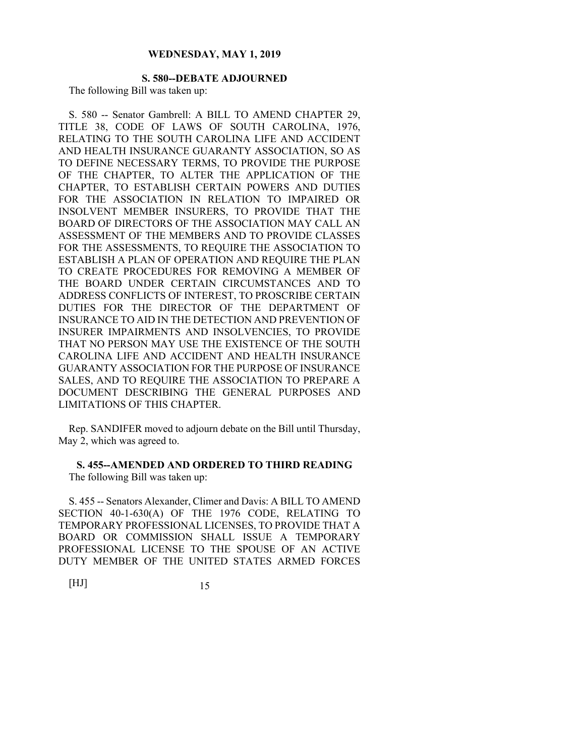#### **S. 580--DEBATE ADJOURNED**  The following Bill was taken up:

S. 580 -- Senator Gambrell: A BILL TO AMEND CHAPTER 29, TITLE 38, CODE OF LAWS OF SOUTH CAROLINA, 1976, RELATING TO THE SOUTH CAROLINA LIFE AND ACCIDENT AND HEALTH INSURANCE GUARANTY ASSOCIATION, SO AS TO DEFINE NECESSARY TERMS, TO PROVIDE THE PURPOSE OF THE CHAPTER, TO ALTER THE APPLICATION OF THE CHAPTER, TO ESTABLISH CERTAIN POWERS AND DUTIES FOR THE ASSOCIATION IN RELATION TO IMPAIRED OR INSOLVENT MEMBER INSURERS, TO PROVIDE THAT THE BOARD OF DIRECTORS OF THE ASSOCIATION MAY CALL AN ASSESSMENT OF THE MEMBERS AND TO PROVIDE CLASSES FOR THE ASSESSMENTS, TO REQUIRE THE ASSOCIATION TO ESTABLISH A PLAN OF OPERATION AND REQUIRE THE PLAN TO CREATE PROCEDURES FOR REMOVING A MEMBER OF THE BOARD UNDER CERTAIN CIRCUMSTANCES AND TO ADDRESS CONFLICTS OF INTEREST, TO PROSCRIBE CERTAIN DUTIES FOR THE DIRECTOR OF THE DEPARTMENT OF INSURANCE TO AID IN THE DETECTION AND PREVENTION OF INSURER IMPAIRMENTS AND INSOLVENCIES, TO PROVIDE THAT NO PERSON MAY USE THE EXISTENCE OF THE SOUTH CAROLINA LIFE AND ACCIDENT AND HEALTH INSURANCE GUARANTY ASSOCIATION FOR THE PURPOSE OF INSURANCE SALES, AND TO REQUIRE THE ASSOCIATION TO PREPARE A DOCUMENT DESCRIBING THE GENERAL PURPOSES AND LIMITATIONS OF THIS CHAPTER.

Rep. SANDIFER moved to adjourn debate on the Bill until Thursday, May 2, which was agreed to.

# **S. 455--AMENDED AND ORDERED TO THIRD READING**

The following Bill was taken up:

S. 455 -- Senators Alexander, Climer and Davis: A BILL TO AMEND SECTION 40-1-630(A) OF THE 1976 CODE, RELATING TO TEMPORARY PROFESSIONAL LICENSES, TO PROVIDE THAT A BOARD OR COMMISSION SHALL ISSUE A TEMPORARY PROFESSIONAL LICENSE TO THE SPOUSE OF AN ACTIVE DUTY MEMBER OF THE UNITED STATES ARMED FORCES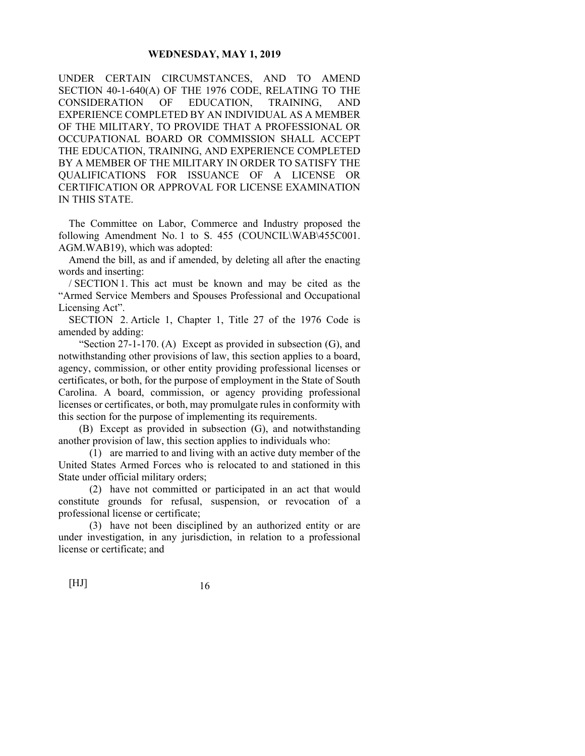UNDER CERTAIN CIRCUMSTANCES, AND TO AMEND SECTION 40-1-640(A) OF THE 1976 CODE, RELATING TO THE CONSIDERATION OF EDUCATION, TRAINING, AND EXPERIENCE COMPLETED BY AN INDIVIDUAL AS A MEMBER OF THE MILITARY, TO PROVIDE THAT A PROFESSIONAL OR OCCUPATIONAL BOARD OR COMMISSION SHALL ACCEPT THE EDUCATION, TRAINING, AND EXPERIENCE COMPLETED BY A MEMBER OF THE MILITARY IN ORDER TO SATISFY THE QUALIFICATIONS FOR ISSUANCE OF A LICENSE OR CERTIFICATION OR APPROVAL FOR LICENSE EXAMINATION IN THIS STATE.

The Committee on Labor, Commerce and Industry proposed the following Amendment No. 1 to S. 455 (COUNCIL\WAB\455C001. AGM.WAB19), which was adopted:

Amend the bill, as and if amended, by deleting all after the enacting words and inserting:

/ SECTION 1. This act must be known and may be cited as the "Armed Service Members and Spouses Professional and Occupational Licensing Act".

SECTION 2. Article 1, Chapter 1, Title 27 of the 1976 Code is amended by adding:

"Section  $27-1-170$ . (A) Except as provided in subsection (G), and notwithstanding other provisions of law, this section applies to a board, agency, commission, or other entity providing professional licenses or certificates, or both, for the purpose of employment in the State of South Carolina. A board, commission, or agency providing professional licenses or certificates, or both, may promulgate rules in conformity with this section for the purpose of implementing its requirements.

 (B) Except as provided in subsection (G), and notwithstanding another provision of law, this section applies to individuals who:

 (1) are married to and living with an active duty member of the United States Armed Forces who is relocated to and stationed in this State under official military orders;

 (2) have not committed or participated in an act that would constitute grounds for refusal, suspension, or revocation of a professional license or certificate;

 (3) have not been disciplined by an authorized entity or are under investigation, in any jurisdiction, in relation to a professional license or certificate; and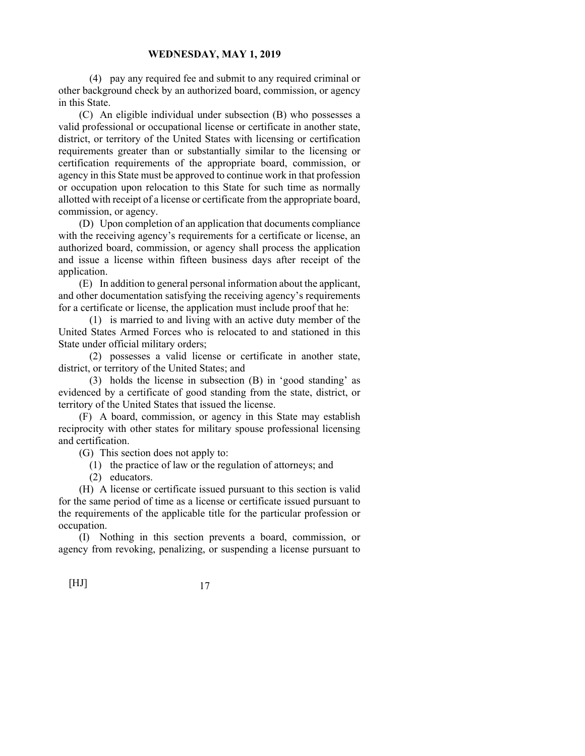(4) pay any required fee and submit to any required criminal or other background check by an authorized board, commission, or agency in this State.

 (C) An eligible individual under subsection (B) who possesses a valid professional or occupational license or certificate in another state, district, or territory of the United States with licensing or certification requirements greater than or substantially similar to the licensing or certification requirements of the appropriate board, commission, or agency in this State must be approved to continue work in that profession or occupation upon relocation to this State for such time as normally allotted with receipt of a license or certificate from the appropriate board, commission, or agency.

 (D) Upon completion of an application that documents compliance with the receiving agency's requirements for a certificate or license, an authorized board, commission, or agency shall process the application and issue a license within fifteen business days after receipt of the application.

 (E) In addition to general personal information about the applicant, and other documentation satisfying the receiving agency's requirements for a certificate or license, the application must include proof that he:

 (1) is married to and living with an active duty member of the United States Armed Forces who is relocated to and stationed in this State under official military orders;

 (2) possesses a valid license or certificate in another state, district, or territory of the United States; and

 (3) holds the license in subsection (B) in 'good standing' as evidenced by a certificate of good standing from the state, district, or territory of the United States that issued the license.

 (F) A board, commission, or agency in this State may establish reciprocity with other states for military spouse professional licensing and certification.

(G) This section does not apply to:

(1) the practice of law or the regulation of attorneys; and

(2) educators.

 (H) A license or certificate issued pursuant to this section is valid for the same period of time as a license or certificate issued pursuant to the requirements of the applicable title for the particular profession or occupation.

 (I) Nothing in this section prevents a board, commission, or agency from revoking, penalizing, or suspending a license pursuant to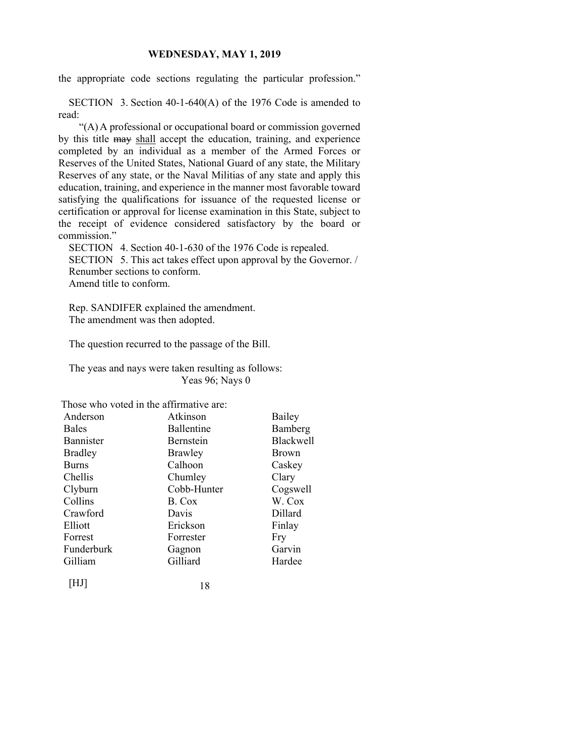the appropriate code sections regulating the particular profession."

SECTION 3. Section 40-1-640(A) of the 1976 Code is amended to read:

 "(A) A professional or occupational board or commission governed by this title may shall accept the education, training, and experience completed by an individual as a member of the Armed Forces or Reserves of the United States, National Guard of any state, the Military Reserves of any state, or the Naval Militias of any state and apply this education, training, and experience in the manner most favorable toward satisfying the qualifications for issuance of the requested license or certification or approval for license examination in this State, subject to the receipt of evidence considered satisfactory by the board or commission."

SECTION 4. Section 40-1-630 of the 1976 Code is repealed. SECTION 5. This act takes effect upon approval by the Governor. / Renumber sections to conform. Amend title to conform.

Rep. SANDIFER explained the amendment. The amendment was then adopted.

The question recurred to the passage of the Bill.

The yeas and nays were taken resulting as follows: Yeas 96; Nays 0

Those who voted in the affirmative are:

| Anderson       | Atkinson    | Bailey       |
|----------------|-------------|--------------|
| <b>Bales</b>   | Ballentine  | Bamberg      |
| Bannister      | Bernstein   | Blackwell    |
| <b>Bradley</b> | Brawley     | <b>Brown</b> |
| <b>Burns</b>   | Calhoon     | Caskey       |
| Chellis        | Chumley     | Clary        |
| Clyburn        | Cobb-Hunter | Cogswell     |
| Collins        | B. Cox      | W. Cox       |
| Crawford       | Davis       | Dillard      |
| Elliott        | Erickson    | Finlay       |
| Forrest        | Forrester   | Fry          |
| Funderburk     | Gagnon      | Garvin       |
| Gilliam        | Gilliard    | Hardee       |
| HJ             | 18          |              |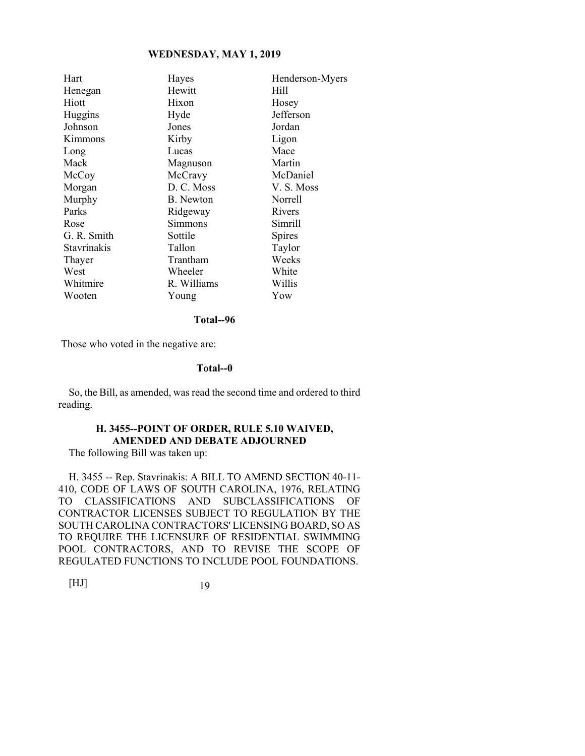| Hayes            | Henderson-Myers |
|------------------|-----------------|
| Hewitt           | Hill            |
| Hixon            | Hosey           |
| Hyde             | Jefferson       |
| Jones            | Jordan          |
| Kirby            | Ligon           |
| Lucas            | Mace            |
| Magnuson         | Martin          |
| McCravy          | McDaniel        |
| D. C. Moss       | V. S. Moss      |
| <b>B.</b> Newton | Norrell         |
| Ridgeway         | Rivers          |
| Simmons          | Simrill         |
| Sottile          | Spires          |
| Tallon           | Taylor          |
| Trantham         | Weeks           |
| Wheeler          | White           |
| R. Williams      | Willis          |
| Young            | Yow             |
|                  |                 |

**Total--96** 

Those who voted in the negative are:

#### **Total--0**

So, the Bill, as amended, was read the second time and ordered to third reading.

# **H. 3455--POINT OF ORDER, RULE 5.10 WAIVED, AMENDED AND DEBATE ADJOURNED**

The following Bill was taken up:

H. 3455 -- Rep. Stavrinakis: A BILL TO AMEND SECTION 40-11- 410, CODE OF LAWS OF SOUTH CAROLINA, 1976, RELATING TO CLASSIFICATIONS AND SUBCLASSIFICATIONS OF CONTRACTOR LICENSES SUBJECT TO REGULATION BY THE SOUTH CAROLINA CONTRACTORS' LICENSING BOARD, SO AS TO REQUIRE THE LICENSURE OF RESIDENTIAL SWIMMING POOL CONTRACTORS, AND TO REVISE THE SCOPE OF REGULATED FUNCTIONS TO INCLUDE POOL FOUNDATIONS.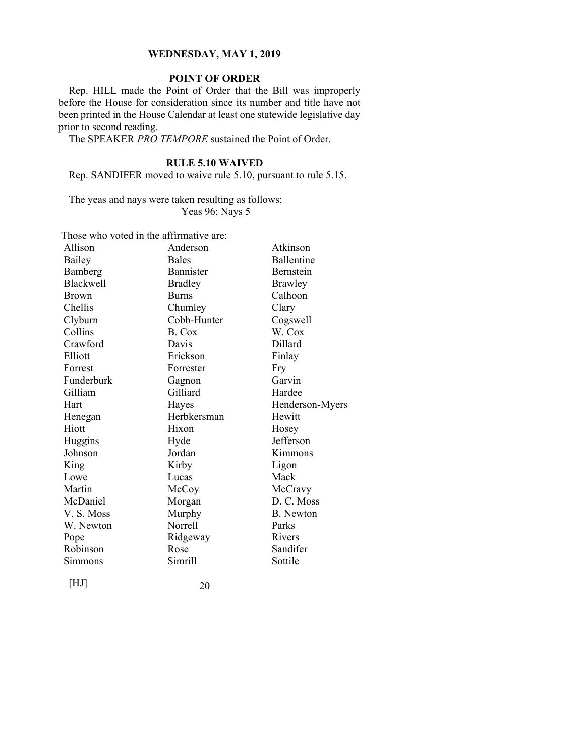# **POINT OF ORDER**

Rep. HILL made the Point of Order that the Bill was improperly before the House for consideration since its number and title have not been printed in the House Calendar at least one statewide legislative day prior to second reading.

The SPEAKER *PRO TEMPORE* sustained the Point of Order.

# **RULE 5.10 WAIVED**

Rep. SANDIFER moved to waive rule 5.10, pursuant to rule 5.15.

The yeas and nays were taken resulting as follows: Yeas 96; Nays 5

| Those who voted in the affirmative are: |                |                   |  |  |
|-----------------------------------------|----------------|-------------------|--|--|
| Allison                                 | Anderson       | Atkinson          |  |  |
| Bailey                                  | <b>Bales</b>   | <b>Ballentine</b> |  |  |
| Bamberg                                 | Bannister      | <b>Bernstein</b>  |  |  |
| <b>Blackwell</b>                        | <b>Bradley</b> | <b>Brawley</b>    |  |  |
| <b>Brown</b>                            | <b>Burns</b>   | Calhoon           |  |  |
| Chellis                                 | Chumley        | Clary             |  |  |
| Clyburn                                 | Cobb-Hunter    | Cogswell          |  |  |
| Collins                                 | B. Cox         | W. Cox            |  |  |
| Crawford                                | Davis          | Dillard           |  |  |
| Elliott                                 | Erickson       | Finlay            |  |  |
| Forrest                                 | Forrester      | Fry               |  |  |
| Funderburk                              | Gagnon         | Garvin            |  |  |
| Gilliam                                 | Gilliard       | Hardee            |  |  |
| Hart                                    | Hayes          | Henderson-Myers   |  |  |
| Henegan                                 | Herbkersman    | Hewitt            |  |  |
| Hiott                                   | Hixon          | Hosey             |  |  |
| Huggins                                 | Hyde           | Jefferson         |  |  |
| Johnson                                 | Jordan         | Kimmons           |  |  |
| King                                    | Kirby          | Ligon             |  |  |
| Lowe                                    | Lucas          | Mack              |  |  |
| Martin                                  | McCoy          | McCravy           |  |  |
| McDaniel                                | Morgan         | D. C. Moss        |  |  |
| V.S. Moss                               | Murphy         | <b>B.</b> Newton  |  |  |
| W. Newton                               | <b>Norrell</b> | Parks             |  |  |
| Pope                                    | Ridgeway       | Rivers            |  |  |
| Robinson                                | Rose           | Sandifer          |  |  |
| Simmons                                 | Simrill        | Sottile           |  |  |
|                                         |                |                   |  |  |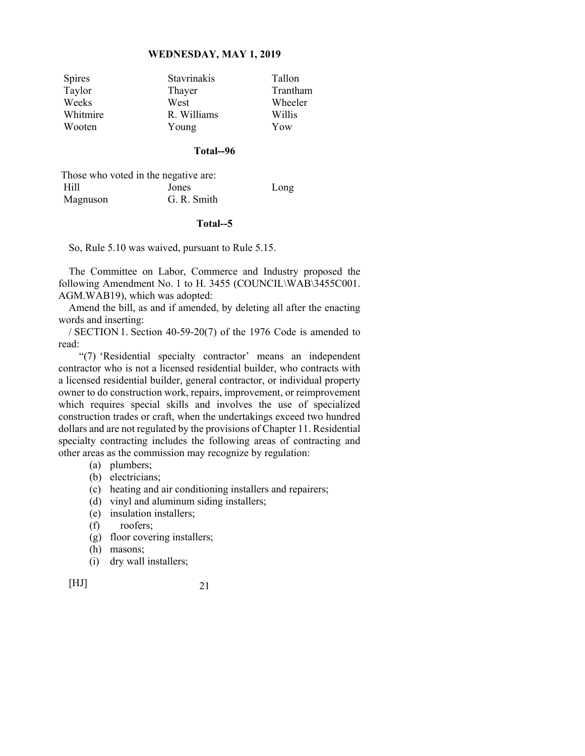| <b>Spires</b> | Stavrinakis | Tallon   |
|---------------|-------------|----------|
| Taylor        | Thayer      | Trantham |
| Weeks         | West        | Wheeler  |
| Whitmire      | R. Williams | Willis   |
| Wooten        | Young       | Yow      |

# **Total--96**

| Those who voted in the negative are: |             |      |
|--------------------------------------|-------------|------|
| Hill                                 | Jones       | Long |
| Magnuson                             | G. R. Smith |      |

#### **Total--5**

So, Rule 5.10 was waived, pursuant to Rule 5.15.

The Committee on Labor, Commerce and Industry proposed the following Amendment No. 1 to H. 3455 (COUNCIL\WAB\3455C001. AGM.WAB19), which was adopted:

Amend the bill, as and if amended, by deleting all after the enacting words and inserting:

/ SECTION 1. Section 40-59-20(7) of the 1976 Code is amended to read:

 "(7) 'Residential specialty contractor' means an independent contractor who is not a licensed residential builder, who contracts with a licensed residential builder, general contractor, or individual property owner to do construction work, repairs, improvement, or reimprovement which requires special skills and involves the use of specialized construction trades or craft, when the undertakings exceed two hundred dollars and are not regulated by the provisions of Chapter 11. Residential specialty contracting includes the following areas of contracting and other areas as the commission may recognize by regulation:

- (a) plumbers;
- (b) electricians;
- (c) heating and air conditioning installers and repairers;
- (d) vinyl and aluminum siding installers;
- (e) insulation installers;
- (f) roofers;
- (g) floor covering installers;
- (h) masons;
- (i) dry wall installers;

[HJ] 21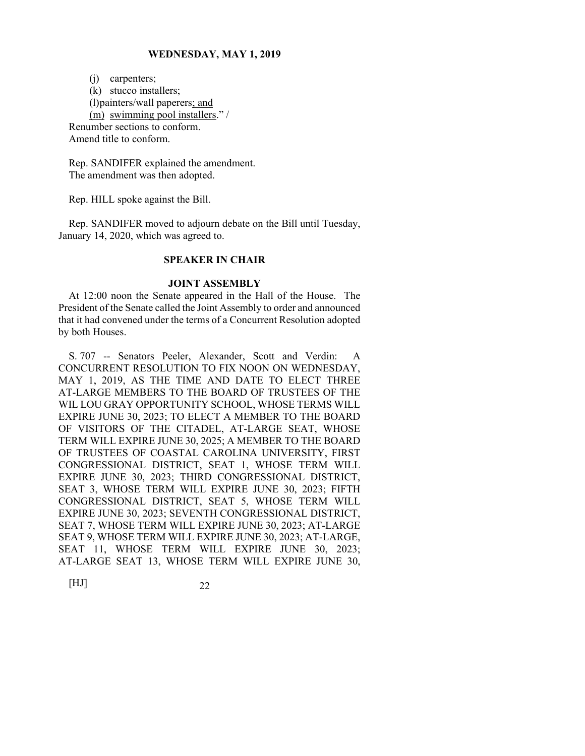(j) carpenters; (k) stucco installers; (l) painters/wall paperers; and (m) swimming pool installers." / Renumber sections to conform. Amend title to conform.

Rep. SANDIFER explained the amendment. The amendment was then adopted.

Rep. HILL spoke against the Bill.

Rep. SANDIFER moved to adjourn debate on the Bill until Tuesday, January 14, 2020, which was agreed to.

# **SPEAKER IN CHAIR**

## **JOINT ASSEMBLY**

At 12:00 noon the Senate appeared in the Hall of the House. The President of the Senate called the Joint Assembly to order and announced that it had convened under the terms of a Concurrent Resolution adopted by both Houses.

S. 707 -- Senators Peeler, Alexander, Scott and Verdin: A CONCURRENT RESOLUTION TO FIX NOON ON WEDNESDAY, MAY 1, 2019, AS THE TIME AND DATE TO ELECT THREE AT-LARGE MEMBERS TO THE BOARD OF TRUSTEES OF THE WIL LOU GRAY OPPORTUNITY SCHOOL, WHOSE TERMS WILL EXPIRE JUNE 30, 2023; TO ELECT A MEMBER TO THE BOARD OF VISITORS OF THE CITADEL, AT-LARGE SEAT, WHOSE TERM WILL EXPIRE JUNE 30, 2025; A MEMBER TO THE BOARD OF TRUSTEES OF COASTAL CAROLINA UNIVERSITY, FIRST CONGRESSIONAL DISTRICT, SEAT 1, WHOSE TERM WILL EXPIRE JUNE 30, 2023; THIRD CONGRESSIONAL DISTRICT, SEAT 3, WHOSE TERM WILL EXPIRE JUNE 30, 2023; FIFTH CONGRESSIONAL DISTRICT, SEAT 5, WHOSE TERM WILL EXPIRE JUNE 30, 2023; SEVENTH CONGRESSIONAL DISTRICT, SEAT 7, WHOSE TERM WILL EXPIRE JUNE 30, 2023; AT-LARGE SEAT 9, WHOSE TERM WILL EXPIRE JUNE 30, 2023; AT-LARGE, SEAT 11, WHOSE TERM WILL EXPIRE JUNE 30, 2023; AT-LARGE SEAT 13, WHOSE TERM WILL EXPIRE JUNE 30,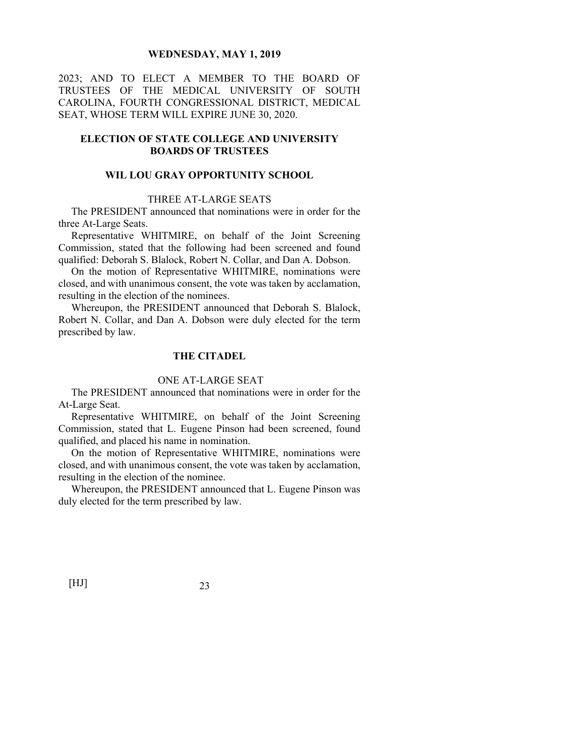2023; AND TO ELECT A MEMBER TO THE BOARD OF TRUSTEES OF THE MEDICAL UNIVERSITY OF SOUTH CAROLINA, FOURTH CONGRESSIONAL DISTRICT, MEDICAL SEAT, WHOSE TERM WILL EXPIRE JUNE 30, 2020.

# **ELECTION OF STATE COLLEGE AND UNIVERSITY BOARDS OF TRUSTEES**

# **WIL LOU GRAY OPPORTUNITY SCHOOL**

# THREE AT-LARGE SEATS

 The PRESIDENT announced that nominations were in order for the three At-Large Seats.

 Representative WHITMIRE, on behalf of the Joint Screening Commission, stated that the following had been screened and found qualified: Deborah S. Blalock, Robert N. Collar, and Dan A. Dobson.

 On the motion of Representative WHITMIRE, nominations were closed, and with unanimous consent, the vote was taken by acclamation, resulting in the election of the nominees.

 Whereupon, the PRESIDENT announced that Deborah S. Blalock, Robert N. Collar, and Dan A. Dobson were duly elected for the term prescribed by law.

# **THE CITADEL**

#### ONE AT-LARGE SEAT

The PRESIDENT announced that nominations were in order for the At-Large Seat.

 Representative WHITMIRE, on behalf of the Joint Screening Commission, stated that L. Eugene Pinson had been screened, found qualified, and placed his name in nomination.

 On the motion of Representative WHITMIRE, nominations were closed, and with unanimous consent, the vote was taken by acclamation, resulting in the election of the nominee.

 Whereupon, the PRESIDENT announced that L. Eugene Pinson was duly elected for the term prescribed by law.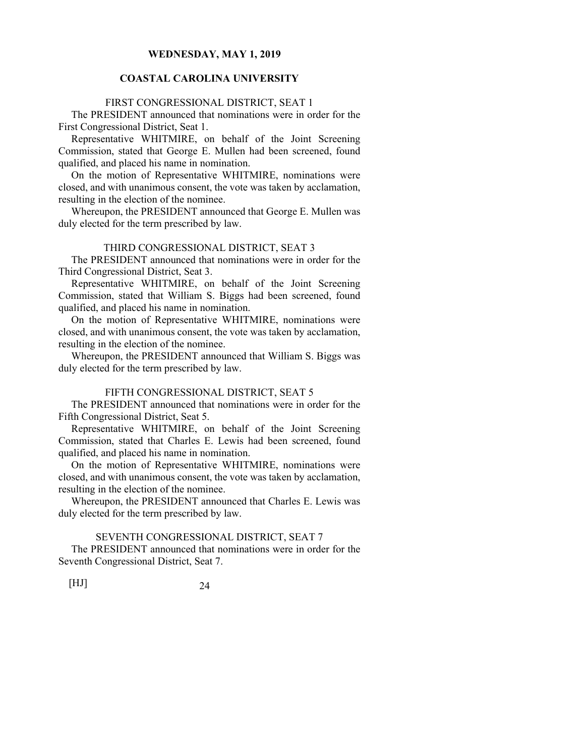# **COASTAL CAROLINA UNIVERSITY**

#### FIRST CONGRESSIONAL DISTRICT, SEAT 1

The PRESIDENT announced that nominations were in order for the First Congressional District, Seat 1.

 Representative WHITMIRE, on behalf of the Joint Screening Commission, stated that George E. Mullen had been screened, found qualified, and placed his name in nomination.

 On the motion of Representative WHITMIRE, nominations were closed, and with unanimous consent, the vote was taken by acclamation, resulting in the election of the nominee.

 Whereupon, the PRESIDENT announced that George E. Mullen was duly elected for the term prescribed by law.

# THIRD CONGRESSIONAL DISTRICT, SEAT 3

The PRESIDENT announced that nominations were in order for the Third Congressional District, Seat 3.

 Representative WHITMIRE, on behalf of the Joint Screening Commission, stated that William S. Biggs had been screened, found qualified, and placed his name in nomination.

 On the motion of Representative WHITMIRE, nominations were closed, and with unanimous consent, the vote was taken by acclamation, resulting in the election of the nominee.

 Whereupon, the PRESIDENT announced that William S. Biggs was duly elected for the term prescribed by law.

#### FIFTH CONGRESSIONAL DISTRICT, SEAT 5

 The PRESIDENT announced that nominations were in order for the Fifth Congressional District, Seat 5.

 Representative WHITMIRE, on behalf of the Joint Screening Commission, stated that Charles E. Lewis had been screened, found qualified, and placed his name in nomination.

 On the motion of Representative WHITMIRE, nominations were closed, and with unanimous consent, the vote was taken by acclamation, resulting in the election of the nominee.

 Whereupon, the PRESIDENT announced that Charles E. Lewis was duly elected for the term prescribed by law.

#### SEVENTH CONGRESSIONAL DISTRICT, SEAT 7

 The PRESIDENT announced that nominations were in order for the Seventh Congressional District, Seat 7.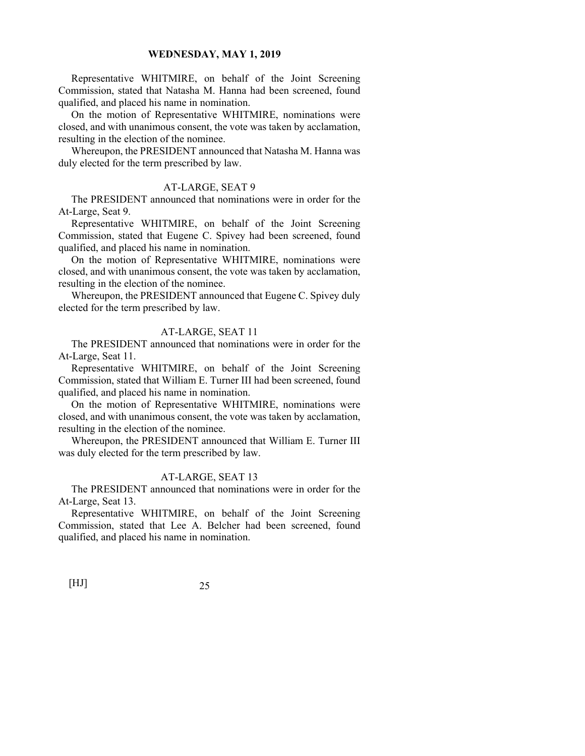Representative WHITMIRE, on behalf of the Joint Screening Commission, stated that Natasha M. Hanna had been screened, found qualified, and placed his name in nomination.

 On the motion of Representative WHITMIRE, nominations were closed, and with unanimous consent, the vote was taken by acclamation, resulting in the election of the nominee.

 Whereupon, the PRESIDENT announced that Natasha M. Hanna was duly elected for the term prescribed by law.

#### AT-LARGE, SEAT 9

 The PRESIDENT announced that nominations were in order for the At-Large, Seat 9.

 Representative WHITMIRE, on behalf of the Joint Screening Commission, stated that Eugene C. Spivey had been screened, found qualified, and placed his name in nomination.

 On the motion of Representative WHITMIRE, nominations were closed, and with unanimous consent, the vote was taken by acclamation, resulting in the election of the nominee.

 Whereupon, the PRESIDENT announced that Eugene C. Spivey duly elected for the term prescribed by law.

# AT-LARGE, SEAT 11

 The PRESIDENT announced that nominations were in order for the At-Large, Seat 11.

 Representative WHITMIRE, on behalf of the Joint Screening Commission, stated that William E. Turner III had been screened, found qualified, and placed his name in nomination.

 On the motion of Representative WHITMIRE, nominations were closed, and with unanimous consent, the vote was taken by acclamation, resulting in the election of the nominee.

 Whereupon, the PRESIDENT announced that William E. Turner III was duly elected for the term prescribed by law.

#### AT-LARGE, SEAT 13

 The PRESIDENT announced that nominations were in order for the At-Large, Seat 13.

 Representative WHITMIRE, on behalf of the Joint Screening Commission, stated that Lee A. Belcher had been screened, found qualified, and placed his name in nomination.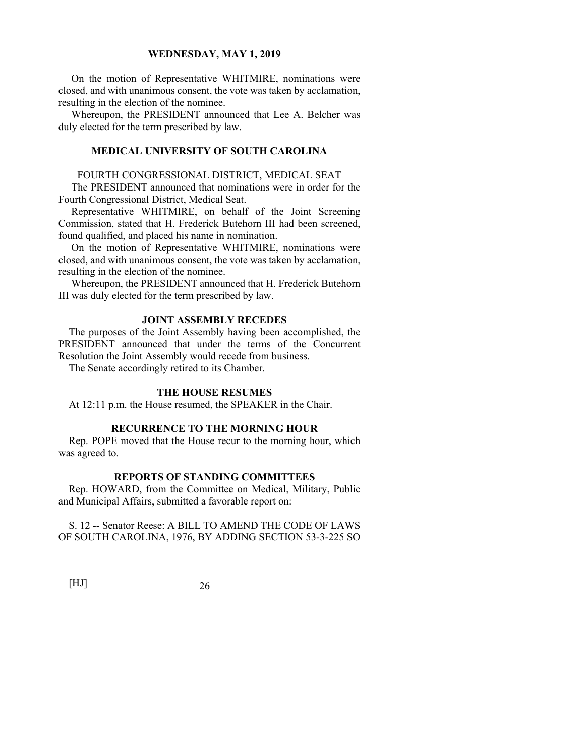On the motion of Representative WHITMIRE, nominations were closed, and with unanimous consent, the vote was taken by acclamation, resulting in the election of the nominee.

 Whereupon, the PRESIDENT announced that Lee A. Belcher was duly elected for the term prescribed by law.

#### **MEDICAL UNIVERSITY OF SOUTH CAROLINA**

## FOURTH CONGRESSIONAL DISTRICT, MEDICAL SEAT

 The PRESIDENT announced that nominations were in order for the Fourth Congressional District, Medical Seat.

 Representative WHITMIRE, on behalf of the Joint Screening Commission, stated that H. Frederick Butehorn III had been screened, found qualified, and placed his name in nomination.

 On the motion of Representative WHITMIRE, nominations were closed, and with unanimous consent, the vote was taken by acclamation, resulting in the election of the nominee.

 Whereupon, the PRESIDENT announced that H. Frederick Butehorn III was duly elected for the term prescribed by law.

## **JOINT ASSEMBLY RECEDES**

The purposes of the Joint Assembly having been accomplished, the PRESIDENT announced that under the terms of the Concurrent Resolution the Joint Assembly would recede from business.

The Senate accordingly retired to its Chamber.

#### **THE HOUSE RESUMES**

At 12:11 p.m. the House resumed, the SPEAKER in the Chair.

#### **RECURRENCE TO THE MORNING HOUR**

Rep. POPE moved that the House recur to the morning hour, which was agreed to.

#### **REPORTS OF STANDING COMMITTEES**

Rep. HOWARD, from the Committee on Medical, Military, Public and Municipal Affairs, submitted a favorable report on:

S. 12 -- Senator Reese: A BILL TO AMEND THE CODE OF LAWS OF SOUTH CAROLINA, 1976, BY ADDING SECTION 53-3-225 SO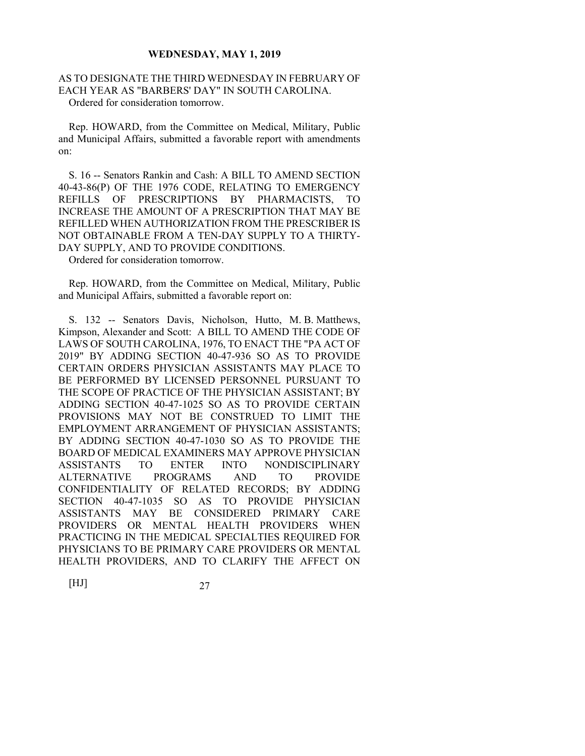# AS TO DESIGNATE THE THIRD WEDNESDAY IN FEBRUARY OF EACH YEAR AS "BARBERS' DAY" IN SOUTH CAROLINA. Ordered for consideration tomorrow.

Rep. HOWARD, from the Committee on Medical, Military, Public and Municipal Affairs, submitted a favorable report with amendments on:

S. 16 -- Senators Rankin and Cash: A BILL TO AMEND SECTION 40-43-86(P) OF THE 1976 CODE, RELATING TO EMERGENCY REFILLS OF PRESCRIPTIONS BY PHARMACISTS, TO INCREASE THE AMOUNT OF A PRESCRIPTION THAT MAY BE REFILLED WHEN AUTHORIZATION FROM THE PRESCRIBER IS NOT OBTAINABLE FROM A TEN-DAY SUPPLY TO A THIRTY-DAY SUPPLY, AND TO PROVIDE CONDITIONS.

Ordered for consideration tomorrow.

Rep. HOWARD, from the Committee on Medical, Military, Public and Municipal Affairs, submitted a favorable report on:

S. 132 -- Senators Davis, Nicholson, Hutto, M. B. Matthews, Kimpson, Alexander and Scott: A BILL TO AMEND THE CODE OF LAWS OF SOUTH CAROLINA, 1976, TO ENACT THE "PA ACT OF 2019" BY ADDING SECTION 40-47-936 SO AS TO PROVIDE CERTAIN ORDERS PHYSICIAN ASSISTANTS MAY PLACE TO BE PERFORMED BY LICENSED PERSONNEL PURSUANT TO THE SCOPE OF PRACTICE OF THE PHYSICIAN ASSISTANT; BY ADDING SECTION 40-47-1025 SO AS TO PROVIDE CERTAIN PROVISIONS MAY NOT BE CONSTRUED TO LIMIT THE EMPLOYMENT ARRANGEMENT OF PHYSICIAN ASSISTANTS; BY ADDING SECTION 40-47-1030 SO AS TO PROVIDE THE BOARD OF MEDICAL EXAMINERS MAY APPROVE PHYSICIAN ASSISTANTS TO ENTER INTO NONDISCIPLINARY ALTERNATIVE PROGRAMS AND TO PROVIDE CONFIDENTIALITY OF RELATED RECORDS; BY ADDING SECTION 40-47-1035 SO AS TO PROVIDE PHYSICIAN ASSISTANTS MAY BE CONSIDERED PRIMARY CARE PROVIDERS OR MENTAL HEALTH PROVIDERS WHEN PRACTICING IN THE MEDICAL SPECIALTIES REQUIRED FOR PHYSICIANS TO BE PRIMARY CARE PROVIDERS OR MENTAL HEALTH PROVIDERS, AND TO CLARIFY THE AFFECT ON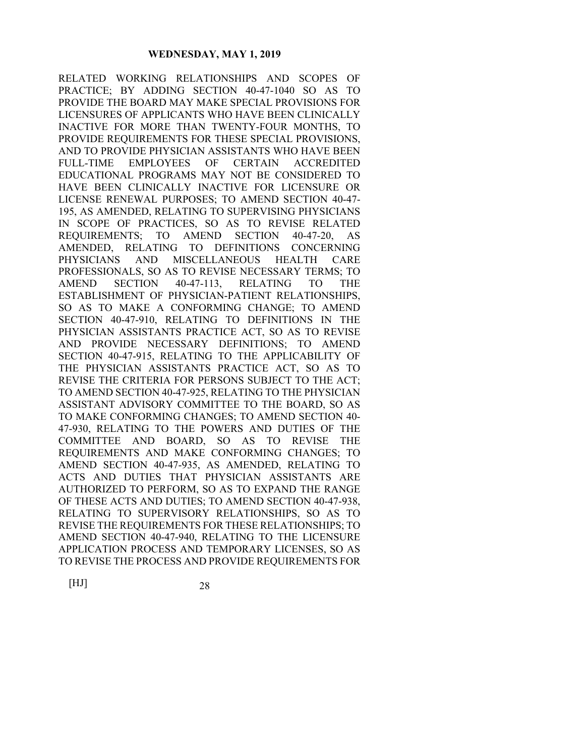RELATED WORKING RELATIONSHIPS AND SCOPES OF PRACTICE; BY ADDING SECTION 40-47-1040 SO AS TO PROVIDE THE BOARD MAY MAKE SPECIAL PROVISIONS FOR LICENSURES OF APPLICANTS WHO HAVE BEEN CLINICALLY INACTIVE FOR MORE THAN TWENTY-FOUR MONTHS, TO PROVIDE REQUIREMENTS FOR THESE SPECIAL PROVISIONS, AND TO PROVIDE PHYSICIAN ASSISTANTS WHO HAVE BEEN FULL-TIME EMPLOYEES OF CERTAIN ACCREDITED EDUCATIONAL PROGRAMS MAY NOT BE CONSIDERED TO HAVE BEEN CLINICALLY INACTIVE FOR LICENSURE OR LICENSE RENEWAL PURPOSES; TO AMEND SECTION 40-47- 195, AS AMENDED, RELATING TO SUPERVISING PHYSICIANS IN SCOPE OF PRACTICES, SO AS TO REVISE RELATED REQUIREMENTS; TO AMEND SECTION 40-47-20, AS AMENDED, RELATING TO DEFINITIONS CONCERNING PHYSICIANS AND MISCELLANEOUS HEALTH CARE PROFESSIONALS, SO AS TO REVISE NECESSARY TERMS; TO AMEND SECTION 40-47-113, RELATING TO THE ESTABLISHMENT OF PHYSICIAN-PATIENT RELATIONSHIPS, SO AS TO MAKE A CONFORMING CHANGE; TO AMEND SECTION 40-47-910, RELATING TO DEFINITIONS IN THE PHYSICIAN ASSISTANTS PRACTICE ACT, SO AS TO REVISE AND PROVIDE NECESSARY DEFINITIONS; TO AMEND SECTION 40-47-915, RELATING TO THE APPLICABILITY OF THE PHYSICIAN ASSISTANTS PRACTICE ACT, SO AS TO REVISE THE CRITERIA FOR PERSONS SUBJECT TO THE ACT; TO AMEND SECTION 40-47-925, RELATING TO THE PHYSICIAN ASSISTANT ADVISORY COMMITTEE TO THE BOARD, SO AS TO MAKE CONFORMING CHANGES; TO AMEND SECTION 40- 47-930, RELATING TO THE POWERS AND DUTIES OF THE COMMITTEE AND BOARD, SO AS TO REVISE THE REQUIREMENTS AND MAKE CONFORMING CHANGES; TO AMEND SECTION 40-47-935, AS AMENDED, RELATING TO ACTS AND DUTIES THAT PHYSICIAN ASSISTANTS ARE AUTHORIZED TO PERFORM, SO AS TO EXPAND THE RANGE OF THESE ACTS AND DUTIES; TO AMEND SECTION 40-47-938, RELATING TO SUPERVISORY RELATIONSHIPS, SO AS TO REVISE THE REQUIREMENTS FOR THESE RELATIONSHIPS; TO AMEND SECTION 40-47-940, RELATING TO THE LICENSURE APPLICATION PROCESS AND TEMPORARY LICENSES, SO AS TO REVISE THE PROCESS AND PROVIDE REQUIREMENTS FOR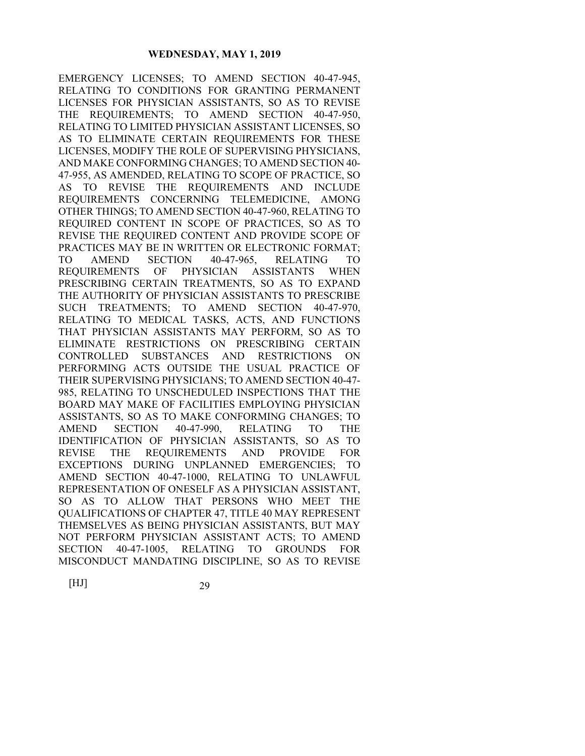EMERGENCY LICENSES; TO AMEND SECTION 40-47-945, RELATING TO CONDITIONS FOR GRANTING PERMANENT LICENSES FOR PHYSICIAN ASSISTANTS, SO AS TO REVISE THE REQUIREMENTS; TO AMEND SECTION 40-47-950, RELATING TO LIMITED PHYSICIAN ASSISTANT LICENSES, SO AS TO ELIMINATE CERTAIN REQUIREMENTS FOR THESE LICENSES, MODIFY THE ROLE OF SUPERVISING PHYSICIANS, AND MAKE CONFORMING CHANGES; TO AMEND SECTION 40- 47-955, AS AMENDED, RELATING TO SCOPE OF PRACTICE, SO AS TO REVISE THE REQUIREMENTS AND INCLUDE REQUIREMENTS CONCERNING TELEMEDICINE, AMONG OTHER THINGS; TO AMEND SECTION 40-47-960, RELATING TO REQUIRED CONTENT IN SCOPE OF PRACTICES, SO AS TO REVISE THE REQUIRED CONTENT AND PROVIDE SCOPE OF PRACTICES MAY BE IN WRITTEN OR ELECTRONIC FORMAT; TO AMEND SECTION 40-47-965, RELATING TO REQUIREMENTS OF PHYSICIAN ASSISTANTS WHEN PRESCRIBING CERTAIN TREATMENTS, SO AS TO EXPAND THE AUTHORITY OF PHYSICIAN ASSISTANTS TO PRESCRIBE SUCH TREATMENTS; TO AMEND SECTION 40-47-970, RELATING TO MEDICAL TASKS, ACTS, AND FUNCTIONS THAT PHYSICIAN ASSISTANTS MAY PERFORM, SO AS TO ELIMINATE RESTRICTIONS ON PRESCRIBING CERTAIN CONTROLLED SUBSTANCES AND RESTRICTIONS ON PERFORMING ACTS OUTSIDE THE USUAL PRACTICE OF THEIR SUPERVISING PHYSICIANS; TO AMEND SECTION 40-47- 985, RELATING TO UNSCHEDULED INSPECTIONS THAT THE BOARD MAY MAKE OF FACILITIES EMPLOYING PHYSICIAN ASSISTANTS, SO AS TO MAKE CONFORMING CHANGES; TO AMEND SECTION 40-47-990, RELATING TO THE IDENTIFICATION OF PHYSICIAN ASSISTANTS, SO AS TO REVISE THE REQUIREMENTS AND PROVIDE FOR EXCEPTIONS DURING UNPLANNED EMERGENCIES; TO AMEND SECTION 40-47-1000, RELATING TO UNLAWFUL REPRESENTATION OF ONESELF AS A PHYSICIAN ASSISTANT, SO AS TO ALLOW THAT PERSONS WHO MEET THE QUALIFICATIONS OF CHAPTER 47, TITLE 40 MAY REPRESENT THEMSELVES AS BEING PHYSICIAN ASSISTANTS, BUT MAY NOT PERFORM PHYSICIAN ASSISTANT ACTS; TO AMEND SECTION 40-47-1005, RELATING TO GROUNDS FOR MISCONDUCT MANDATING DISCIPLINE, SO AS TO REVISE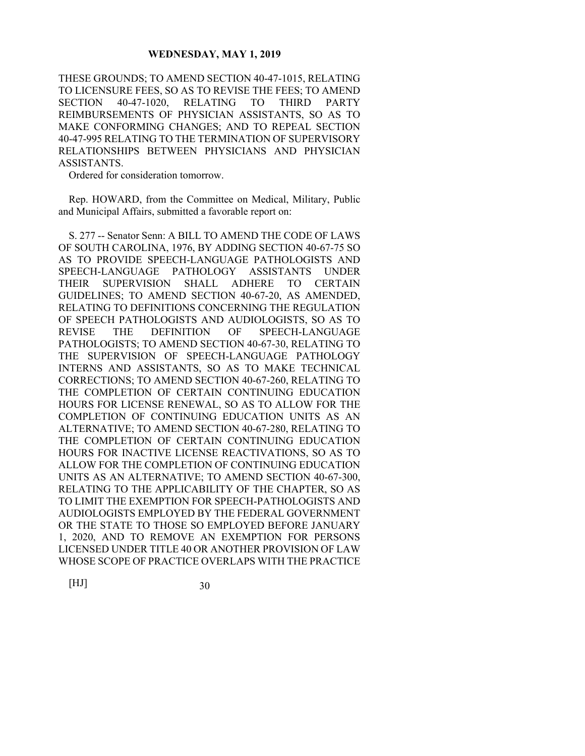THESE GROUNDS; TO AMEND SECTION 40-47-1015, RELATING TO LICENSURE FEES, SO AS TO REVISE THE FEES; TO AMEND SECTION 40-47-1020, RELATING TO THIRD PARTY REIMBURSEMENTS OF PHYSICIAN ASSISTANTS, SO AS TO MAKE CONFORMING CHANGES; AND TO REPEAL SECTION 40-47-995 RELATING TO THE TERMINATION OF SUPERVISORY RELATIONSHIPS BETWEEN PHYSICIANS AND PHYSICIAN ASSISTANTS.

Ordered for consideration tomorrow.

Rep. HOWARD, from the Committee on Medical, Military, Public and Municipal Affairs, submitted a favorable report on:

S. 277 -- Senator Senn: A BILL TO AMEND THE CODE OF LAWS OF SOUTH CAROLINA, 1976, BY ADDING SECTION 40-67-75 SO AS TO PROVIDE SPEECH-LANGUAGE PATHOLOGISTS AND SPEECH-LANGUAGE PATHOLOGY ASSISTANTS UNDER THEIR SUPERVISION SHALL ADHERE TO CERTAIN GUIDELINES; TO AMEND SECTION 40-67-20, AS AMENDED, RELATING TO DEFINITIONS CONCERNING THE REGULATION OF SPEECH PATHOLOGISTS AND AUDIOLOGISTS, SO AS TO REVISE THE DEFINITION OF SPEECH-LANGUAGE PATHOLOGISTS; TO AMEND SECTION 40-67-30, RELATING TO THE SUPERVISION OF SPEECH-LANGUAGE PATHOLOGY INTERNS AND ASSISTANTS, SO AS TO MAKE TECHNICAL CORRECTIONS; TO AMEND SECTION 40-67-260, RELATING TO THE COMPLETION OF CERTAIN CONTINUING EDUCATION HOURS FOR LICENSE RENEWAL, SO AS TO ALLOW FOR THE COMPLETION OF CONTINUING EDUCATION UNITS AS AN ALTERNATIVE; TO AMEND SECTION 40-67-280, RELATING TO THE COMPLETION OF CERTAIN CONTINUING EDUCATION HOURS FOR INACTIVE LICENSE REACTIVATIONS, SO AS TO ALLOW FOR THE COMPLETION OF CONTINUING EDUCATION UNITS AS AN ALTERNATIVE; TO AMEND SECTION 40-67-300, RELATING TO THE APPLICABILITY OF THE CHAPTER, SO AS TO LIMIT THE EXEMPTION FOR SPEECH-PATHOLOGISTS AND AUDIOLOGISTS EMPLOYED BY THE FEDERAL GOVERNMENT OR THE STATE TO THOSE SO EMPLOYED BEFORE JANUARY 1, 2020, AND TO REMOVE AN EXEMPTION FOR PERSONS LICENSED UNDER TITLE 40 OR ANOTHER PROVISION OF LAW WHOSE SCOPE OF PRACTICE OVERLAPS WITH THE PRACTICE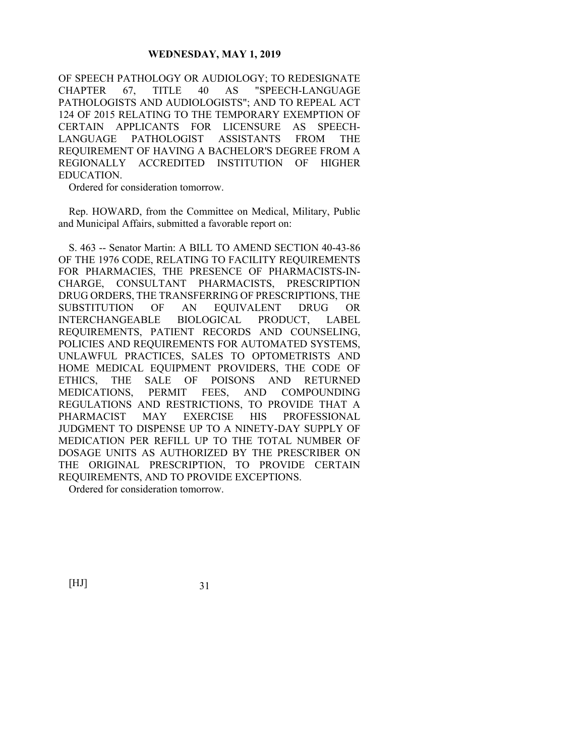OF SPEECH PATHOLOGY OR AUDIOLOGY; TO REDESIGNATE CHAPTER 67, TITLE 40 AS "SPEECH-LANGUAGE PATHOLOGISTS AND AUDIOLOGISTS"; AND TO REPEAL ACT 124 OF 2015 RELATING TO THE TEMPORARY EXEMPTION OF CERTAIN APPLICANTS FOR LICENSURE AS SPEECH-LANGUAGE PATHOLOGIST ASSISTANTS FROM THE REQUIREMENT OF HAVING A BACHELOR'S DEGREE FROM A REGIONALLY ACCREDITED INSTITUTION OF HIGHER EDUCATION.

Ordered for consideration tomorrow.

Rep. HOWARD, from the Committee on Medical, Military, Public and Municipal Affairs, submitted a favorable report on:

S. 463 -- Senator Martin: A BILL TO AMEND SECTION 40-43-86 OF THE 1976 CODE, RELATING TO FACILITY REQUIREMENTS FOR PHARMACIES, THE PRESENCE OF PHARMACISTS-IN-CHARGE, CONSULTANT PHARMACISTS, PRESCRIPTION DRUG ORDERS, THE TRANSFERRING OF PRESCRIPTIONS, THE SUBSTITUTION OF AN EQUIVALENT DRUG OR INTERCHANGEABLE BIOLOGICAL PRODUCT, LABEL REQUIREMENTS, PATIENT RECORDS AND COUNSELING, POLICIES AND REQUIREMENTS FOR AUTOMATED SYSTEMS, UNLAWFUL PRACTICES, SALES TO OPTOMETRISTS AND HOME MEDICAL EQUIPMENT PROVIDERS, THE CODE OF ETHICS, THE SALE OF POISONS AND RETURNED MEDICATIONS, PERMIT FEES, AND COMPOUNDING REGULATIONS AND RESTRICTIONS, TO PROVIDE THAT A PHARMACIST MAY EXERCISE HIS PROFESSIONAL JUDGMENT TO DISPENSE UP TO A NINETY-DAY SUPPLY OF MEDICATION PER REFILL UP TO THE TOTAL NUMBER OF DOSAGE UNITS AS AUTHORIZED BY THE PRESCRIBER ON THE ORIGINAL PRESCRIPTION, TO PROVIDE CERTAIN REQUIREMENTS, AND TO PROVIDE EXCEPTIONS.

Ordered for consideration tomorrow.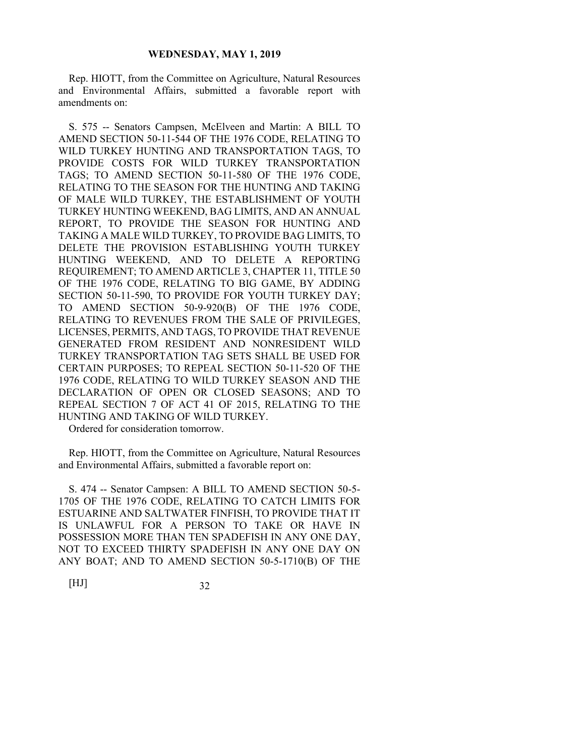Rep. HIOTT, from the Committee on Agriculture, Natural Resources and Environmental Affairs, submitted a favorable report with amendments on:

S. 575 -- Senators Campsen, McElveen and Martin: A BILL TO AMEND SECTION 50-11-544 OF THE 1976 CODE, RELATING TO WILD TURKEY HUNTING AND TRANSPORTATION TAGS, TO PROVIDE COSTS FOR WILD TURKEY TRANSPORTATION TAGS; TO AMEND SECTION 50-11-580 OF THE 1976 CODE, RELATING TO THE SEASON FOR THE HUNTING AND TAKING OF MALE WILD TURKEY, THE ESTABLISHMENT OF YOUTH TURKEY HUNTING WEEKEND, BAG LIMITS, AND AN ANNUAL REPORT, TO PROVIDE THE SEASON FOR HUNTING AND TAKING A MALE WILD TURKEY, TO PROVIDE BAG LIMITS, TO DELETE THE PROVISION ESTABLISHING YOUTH TURKEY HUNTING WEEKEND, AND TO DELETE A REPORTING REQUIREMENT; TO AMEND ARTICLE 3, CHAPTER 11, TITLE 50 OF THE 1976 CODE, RELATING TO BIG GAME, BY ADDING SECTION 50-11-590, TO PROVIDE FOR YOUTH TURKEY DAY; TO AMEND SECTION 50-9-920(B) OF THE 1976 CODE, RELATING TO REVENUES FROM THE SALE OF PRIVILEGES, LICENSES, PERMITS, AND TAGS, TO PROVIDE THAT REVENUE GENERATED FROM RESIDENT AND NONRESIDENT WILD TURKEY TRANSPORTATION TAG SETS SHALL BE USED FOR CERTAIN PURPOSES; TO REPEAL SECTION 50-11-520 OF THE 1976 CODE, RELATING TO WILD TURKEY SEASON AND THE DECLARATION OF OPEN OR CLOSED SEASONS; AND TO REPEAL SECTION 7 OF ACT 41 OF 2015, RELATING TO THE HUNTING AND TAKING OF WILD TURKEY.

Ordered for consideration tomorrow.

Rep. HIOTT, from the Committee on Agriculture, Natural Resources and Environmental Affairs, submitted a favorable report on:

S. 474 -- Senator Campsen: A BILL TO AMEND SECTION 50-5- 1705 OF THE 1976 CODE, RELATING TO CATCH LIMITS FOR ESTUARINE AND SALTWATER FINFISH, TO PROVIDE THAT IT IS UNLAWFUL FOR A PERSON TO TAKE OR HAVE IN POSSESSION MORE THAN TEN SPADEFISH IN ANY ONE DAY, NOT TO EXCEED THIRTY SPADEFISH IN ANY ONE DAY ON ANY BOAT; AND TO AMEND SECTION 50-5-1710(B) OF THE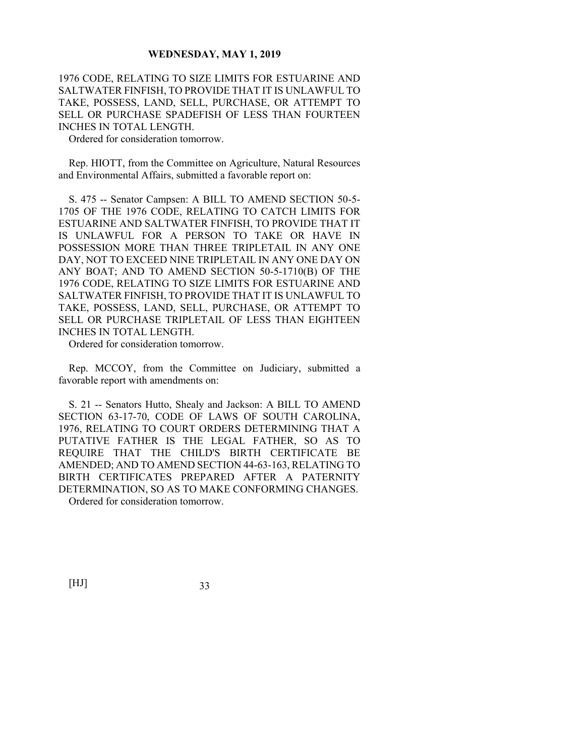1976 CODE, RELATING TO SIZE LIMITS FOR ESTUARINE AND SALTWATER FINFISH, TO PROVIDE THAT IT IS UNLAWFUL TO TAKE, POSSESS, LAND, SELL, PURCHASE, OR ATTEMPT TO SELL OR PURCHASE SPADEFISH OF LESS THAN FOURTEEN INCHES IN TOTAL LENGTH.

Ordered for consideration tomorrow.

Rep. HIOTT, from the Committee on Agriculture, Natural Resources and Environmental Affairs, submitted a favorable report on:

S. 475 -- Senator Campsen: A BILL TO AMEND SECTION 50-5- 1705 OF THE 1976 CODE, RELATING TO CATCH LIMITS FOR ESTUARINE AND SALTWATER FINFISH, TO PROVIDE THAT IT IS UNLAWFUL FOR A PERSON TO TAKE OR HAVE IN POSSESSION MORE THAN THREE TRIPLETAIL IN ANY ONE DAY, NOT TO EXCEED NINE TRIPLETAIL IN ANY ONE DAY ON ANY BOAT; AND TO AMEND SECTION 50-5-1710(B) OF THE 1976 CODE, RELATING TO SIZE LIMITS FOR ESTUARINE AND SALTWATER FINFISH, TO PROVIDE THAT IT IS UNLAWFUL TO TAKE, POSSESS, LAND, SELL, PURCHASE, OR ATTEMPT TO SELL OR PURCHASE TRIPLETAIL OF LESS THAN EIGHTEEN INCHES IN TOTAL LENGTH.

Ordered for consideration tomorrow.

Rep. MCCOY, from the Committee on Judiciary, submitted a favorable report with amendments on:

S. 21 -- Senators Hutto, Shealy and Jackson: A BILL TO AMEND SECTION 63-17-70, CODE OF LAWS OF SOUTH CAROLINA, 1976, RELATING TO COURT ORDERS DETERMINING THAT A PUTATIVE FATHER IS THE LEGAL FATHER, SO AS TO REQUIRE THAT THE CHILD'S BIRTH CERTIFICATE BE AMENDED; AND TO AMEND SECTION 44-63-163, RELATING TO BIRTH CERTIFICATES PREPARED AFTER A PATERNITY DETERMINATION, SO AS TO MAKE CONFORMING CHANGES.

Ordered for consideration tomorrow.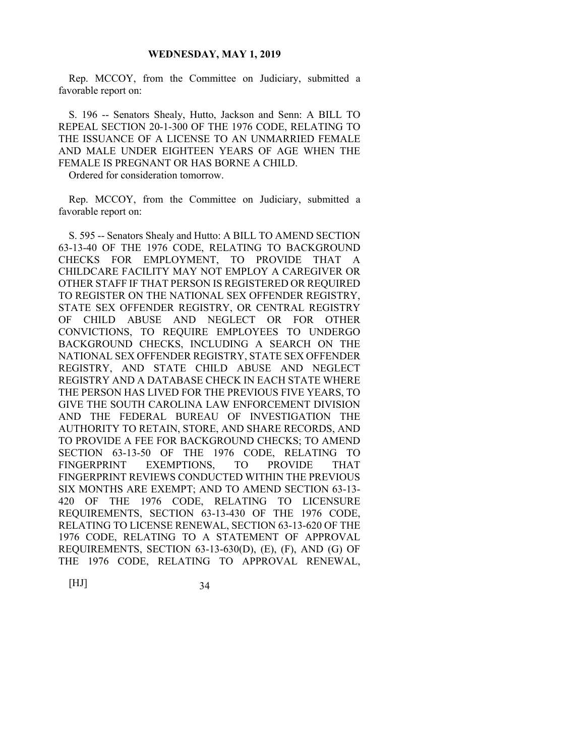Rep. MCCOY, from the Committee on Judiciary, submitted a favorable report on:

S. 196 -- Senators Shealy, Hutto, Jackson and Senn: A BILL TO REPEAL SECTION 20-1-300 OF THE 1976 CODE, RELATING TO THE ISSUANCE OF A LICENSE TO AN UNMARRIED FEMALE AND MALE UNDER EIGHTEEN YEARS OF AGE WHEN THE FEMALE IS PREGNANT OR HAS BORNE A CHILD.

Ordered for consideration tomorrow.

Rep. MCCOY, from the Committee on Judiciary, submitted a favorable report on:

S. 595 -- Senators Shealy and Hutto: A BILL TO AMEND SECTION 63-13-40 OF THE 1976 CODE, RELATING TO BACKGROUND CHECKS FOR EMPLOYMENT, TO PROVIDE THAT A CHILDCARE FACILITY MAY NOT EMPLOY A CAREGIVER OR OTHER STAFF IF THAT PERSON IS REGISTERED OR REQUIRED TO REGISTER ON THE NATIONAL SEX OFFENDER REGISTRY, STATE SEX OFFENDER REGISTRY, OR CENTRAL REGISTRY OF CHILD ABUSE AND NEGLECT OR FOR OTHER CONVICTIONS, TO REQUIRE EMPLOYEES TO UNDERGO BACKGROUND CHECKS, INCLUDING A SEARCH ON THE NATIONAL SEX OFFENDER REGISTRY, STATE SEX OFFENDER REGISTRY, AND STATE CHILD ABUSE AND NEGLECT REGISTRY AND A DATABASE CHECK IN EACH STATE WHERE THE PERSON HAS LIVED FOR THE PREVIOUS FIVE YEARS, TO GIVE THE SOUTH CAROLINA LAW ENFORCEMENT DIVISION AND THE FEDERAL BUREAU OF INVESTIGATION THE AUTHORITY TO RETAIN, STORE, AND SHARE RECORDS, AND TO PROVIDE A FEE FOR BACKGROUND CHECKS; TO AMEND SECTION 63-13-50 OF THE 1976 CODE, RELATING TO FINGERPRINT EXEMPTIONS, TO PROVIDE THAT FINGERPRINT REVIEWS CONDUCTED WITHIN THE PREVIOUS SIX MONTHS ARE EXEMPT; AND TO AMEND SECTION 63-13- 420 OF THE 1976 CODE, RELATING TO LICENSURE REQUIREMENTS, SECTION 63-13-430 OF THE 1976 CODE, RELATING TO LICENSE RENEWAL, SECTION 63-13-620 OF THE 1976 CODE, RELATING TO A STATEMENT OF APPROVAL REQUIREMENTS, SECTION 63-13-630(D), (E), (F), AND (G) OF THE 1976 CODE, RELATING TO APPROVAL RENEWAL,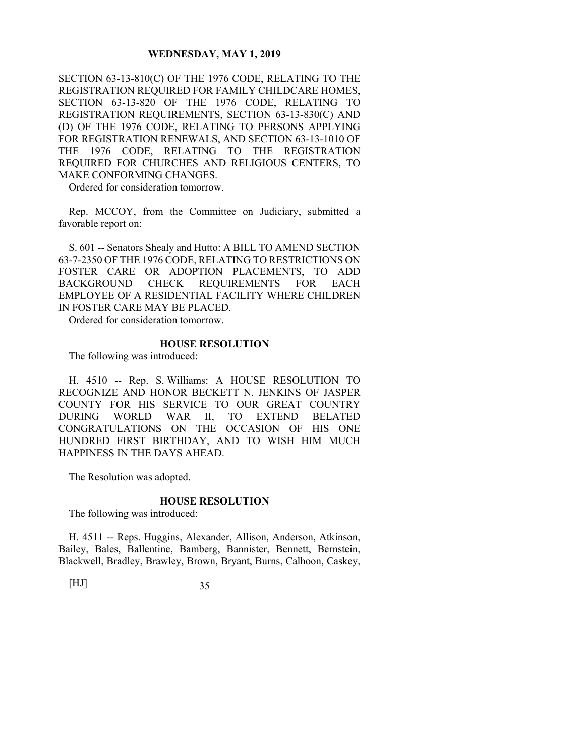SECTION 63-13-810(C) OF THE 1976 CODE, RELATING TO THE REGISTRATION REQUIRED FOR FAMILY CHILDCARE HOMES, SECTION 63-13-820 OF THE 1976 CODE, RELATING TO REGISTRATION REQUIREMENTS, SECTION 63-13-830(C) AND (D) OF THE 1976 CODE, RELATING TO PERSONS APPLYING FOR REGISTRATION RENEWALS, AND SECTION 63-13-1010 OF THE 1976 CODE, RELATING TO THE REGISTRATION REQUIRED FOR CHURCHES AND RELIGIOUS CENTERS, TO MAKE CONFORMING CHANGES.

Ordered for consideration tomorrow.

Rep. MCCOY, from the Committee on Judiciary, submitted a favorable report on:

S. 601 -- Senators Shealy and Hutto: A BILL TO AMEND SECTION 63-7-2350 OF THE 1976 CODE, RELATING TO RESTRICTIONS ON FOSTER CARE OR ADOPTION PLACEMENTS, TO ADD BACKGROUND CHECK REQUIREMENTS FOR EACH EMPLOYEE OF A RESIDENTIAL FACILITY WHERE CHILDREN IN FOSTER CARE MAY BE PLACED.

Ordered for consideration tomorrow.

#### **HOUSE RESOLUTION**

The following was introduced:

H. 4510 -- Rep. S. Williams: A HOUSE RESOLUTION TO RECOGNIZE AND HONOR BECKETT N. JENKINS OF JASPER COUNTY FOR HIS SERVICE TO OUR GREAT COUNTRY DURING WORLD WAR II, TO EXTEND BELATED CONGRATULATIONS ON THE OCCASION OF HIS ONE HUNDRED FIRST BIRTHDAY, AND TO WISH HIM MUCH HAPPINESS IN THE DAYS AHEAD.

The Resolution was adopted.

#### **HOUSE RESOLUTION**

The following was introduced:

H. 4511 -- Reps. Huggins, Alexander, Allison, Anderson, Atkinson, Bailey, Bales, Ballentine, Bamberg, Bannister, Bennett, Bernstein, Blackwell, Bradley, Brawley, Brown, Bryant, Burns, Calhoon, Caskey,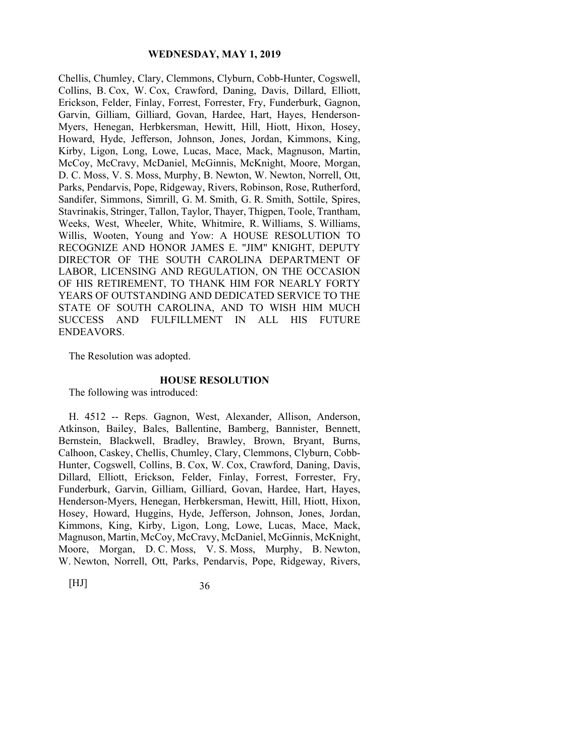Chellis, Chumley, Clary, Clemmons, Clyburn, Cobb-Hunter, Cogswell, Collins, B. Cox, W. Cox, Crawford, Daning, Davis, Dillard, Elliott, Erickson, Felder, Finlay, Forrest, Forrester, Fry, Funderburk, Gagnon, Garvin, Gilliam, Gilliard, Govan, Hardee, Hart, Hayes, Henderson-Myers, Henegan, Herbkersman, Hewitt, Hill, Hiott, Hixon, Hosey, Howard, Hyde, Jefferson, Johnson, Jones, Jordan, Kimmons, King, Kirby, Ligon, Long, Lowe, Lucas, Mace, Mack, Magnuson, Martin, McCoy, McCravy, McDaniel, McGinnis, McKnight, Moore, Morgan, D. C. Moss, V. S. Moss, Murphy, B. Newton, W. Newton, Norrell, Ott, Parks, Pendarvis, Pope, Ridgeway, Rivers, Robinson, Rose, Rutherford, Sandifer, Simmons, Simrill, G. M. Smith, G. R. Smith, Sottile, Spires, Stavrinakis, Stringer, Tallon, Taylor, Thayer, Thigpen, Toole, Trantham, Weeks, West, Wheeler, White, Whitmire, R. Williams, S. Williams, Willis, Wooten, Young and Yow: A HOUSE RESOLUTION TO RECOGNIZE AND HONOR JAMES E. "JIM" KNIGHT, DEPUTY DIRECTOR OF THE SOUTH CAROLINA DEPARTMENT OF LABOR, LICENSING AND REGULATION, ON THE OCCASION OF HIS RETIREMENT, TO THANK HIM FOR NEARLY FORTY YEARS OF OUTSTANDING AND DEDICATED SERVICE TO THE STATE OF SOUTH CAROLINA, AND TO WISH HIM MUCH SUCCESS AND FULFILLMENT IN ALL HIS FUTURE ENDEAVORS.

The Resolution was adopted.

#### **HOUSE RESOLUTION**

The following was introduced:

H. 4512 -- Reps. Gagnon, West, Alexander, Allison, Anderson, Atkinson, Bailey, Bales, Ballentine, Bamberg, Bannister, Bennett, Bernstein, Blackwell, Bradley, Brawley, Brown, Bryant, Burns, Calhoon, Caskey, Chellis, Chumley, Clary, Clemmons, Clyburn, Cobb-Hunter, Cogswell, Collins, B. Cox, W. Cox, Crawford, Daning, Davis, Dillard, Elliott, Erickson, Felder, Finlay, Forrest, Forrester, Fry, Funderburk, Garvin, Gilliam, Gilliard, Govan, Hardee, Hart, Hayes, Henderson-Myers, Henegan, Herbkersman, Hewitt, Hill, Hiott, Hixon, Hosey, Howard, Huggins, Hyde, Jefferson, Johnson, Jones, Jordan, Kimmons, King, Kirby, Ligon, Long, Lowe, Lucas, Mace, Mack, Magnuson, Martin, McCoy, McCravy, McDaniel, McGinnis, McKnight, Moore, Morgan, D. C. Moss, V. S. Moss, Murphy, B. Newton, W. Newton, Norrell, Ott, Parks, Pendarvis, Pope, Ridgeway, Rivers,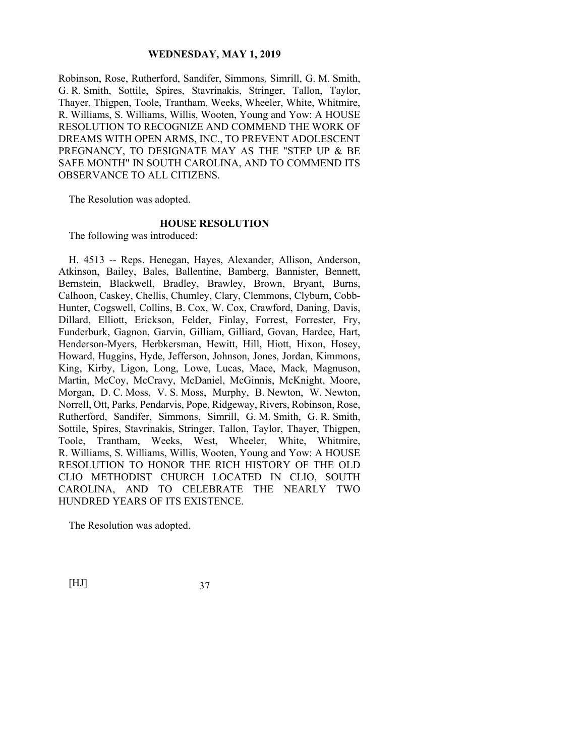Robinson, Rose, Rutherford, Sandifer, Simmons, Simrill, G. M. Smith, G. R. Smith, Sottile, Spires, Stavrinakis, Stringer, Tallon, Taylor, Thayer, Thigpen, Toole, Trantham, Weeks, Wheeler, White, Whitmire, R. Williams, S. Williams, Willis, Wooten, Young and Yow: A HOUSE RESOLUTION TO RECOGNIZE AND COMMEND THE WORK OF DREAMS WITH OPEN ARMS, INC., TO PREVENT ADOLESCENT PREGNANCY, TO DESIGNATE MAY AS THE "STEP UP & BE SAFE MONTH" IN SOUTH CAROLINA, AND TO COMMEND ITS OBSERVANCE TO ALL CITIZENS.

The Resolution was adopted.

#### **HOUSE RESOLUTION**

The following was introduced:

H. 4513 -- Reps. Henegan, Hayes, Alexander, Allison, Anderson, Atkinson, Bailey, Bales, Ballentine, Bamberg, Bannister, Bennett, Bernstein, Blackwell, Bradley, Brawley, Brown, Bryant, Burns, Calhoon, Caskey, Chellis, Chumley, Clary, Clemmons, Clyburn, Cobb-Hunter, Cogswell, Collins, B. Cox, W. Cox, Crawford, Daning, Davis, Dillard, Elliott, Erickson, Felder, Finlay, Forrest, Forrester, Fry, Funderburk, Gagnon, Garvin, Gilliam, Gilliard, Govan, Hardee, Hart, Henderson-Myers, Herbkersman, Hewitt, Hill, Hiott, Hixon, Hosey, Howard, Huggins, Hyde, Jefferson, Johnson, Jones, Jordan, Kimmons, King, Kirby, Ligon, Long, Lowe, Lucas, Mace, Mack, Magnuson, Martin, McCoy, McCravy, McDaniel, McGinnis, McKnight, Moore, Morgan, D. C. Moss, V. S. Moss, Murphy, B. Newton, W. Newton, Norrell, Ott, Parks, Pendarvis, Pope, Ridgeway, Rivers, Robinson, Rose, Rutherford, Sandifer, Simmons, Simrill, G. M. Smith, G. R. Smith, Sottile, Spires, Stavrinakis, Stringer, Tallon, Taylor, Thayer, Thigpen, Toole, Trantham, Weeks, West, Wheeler, White, Whitmire, R. Williams, S. Williams, Willis, Wooten, Young and Yow: A HOUSE RESOLUTION TO HONOR THE RICH HISTORY OF THE OLD CLIO METHODIST CHURCH LOCATED IN CLIO, SOUTH CAROLINA, AND TO CELEBRATE THE NEARLY TWO HUNDRED YEARS OF ITS EXISTENCE.

The Resolution was adopted.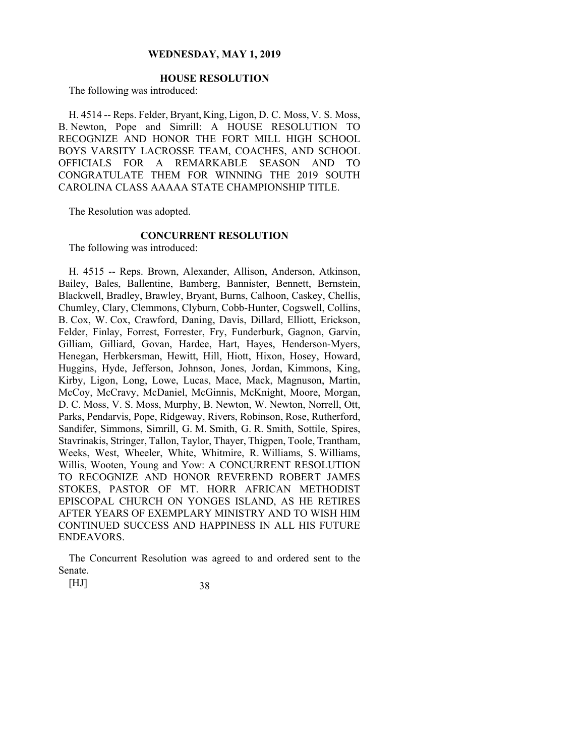# **HOUSE RESOLUTION**

The following was introduced:

H. 4514 -- Reps. Felder, Bryant, King, Ligon, D. C. Moss, V. S. Moss, B. Newton, Pope and Simrill: A HOUSE RESOLUTION TO RECOGNIZE AND HONOR THE FORT MILL HIGH SCHOOL BOYS VARSITY LACROSSE TEAM, COACHES, AND SCHOOL OFFICIALS FOR A REMARKABLE SEASON AND TO CONGRATULATE THEM FOR WINNING THE 2019 SOUTH CAROLINA CLASS AAAAA STATE CHAMPIONSHIP TITLE.

The Resolution was adopted.

# **CONCURRENT RESOLUTION**

The following was introduced:

H. 4515 -- Reps. Brown, Alexander, Allison, Anderson, Atkinson, Bailey, Bales, Ballentine, Bamberg, Bannister, Bennett, Bernstein, Blackwell, Bradley, Brawley, Bryant, Burns, Calhoon, Caskey, Chellis, Chumley, Clary, Clemmons, Clyburn, Cobb-Hunter, Cogswell, Collins, B. Cox, W. Cox, Crawford, Daning, Davis, Dillard, Elliott, Erickson, Felder, Finlay, Forrest, Forrester, Fry, Funderburk, Gagnon, Garvin, Gilliam, Gilliard, Govan, Hardee, Hart, Hayes, Henderson-Myers, Henegan, Herbkersman, Hewitt, Hill, Hiott, Hixon, Hosey, Howard, Huggins, Hyde, Jefferson, Johnson, Jones, Jordan, Kimmons, King, Kirby, Ligon, Long, Lowe, Lucas, Mace, Mack, Magnuson, Martin, McCoy, McCravy, McDaniel, McGinnis, McKnight, Moore, Morgan, D. C. Moss, V. S. Moss, Murphy, B. Newton, W. Newton, Norrell, Ott, Parks, Pendarvis, Pope, Ridgeway, Rivers, Robinson, Rose, Rutherford, Sandifer, Simmons, Simrill, G. M. Smith, G. R. Smith, Sottile, Spires, Stavrinakis, Stringer, Tallon, Taylor, Thayer, Thigpen, Toole, Trantham, Weeks, West, Wheeler, White, Whitmire, R. Williams, S. Williams, Willis, Wooten, Young and Yow: A CONCURRENT RESOLUTION TO RECOGNIZE AND HONOR REVEREND ROBERT JAMES STOKES, PASTOR OF MT. HORR AFRICAN METHODIST EPISCOPAL CHURCH ON YONGES ISLAND, AS HE RETIRES AFTER YEARS OF EXEMPLARY MINISTRY AND TO WISH HIM CONTINUED SUCCESS AND HAPPINESS IN ALL HIS FUTURE ENDEAVORS.

The Concurrent Resolution was agreed to and ordered sent to the Senate.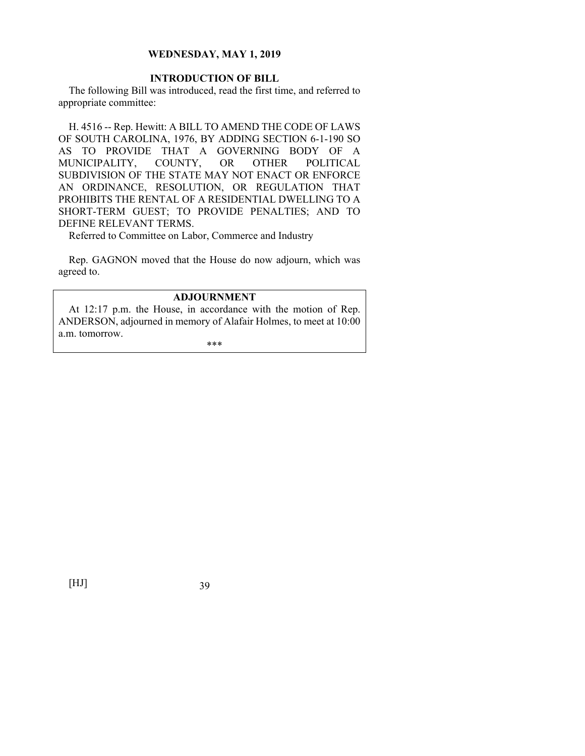# **INTRODUCTION OF BILL**

The following Bill was introduced, read the first time, and referred to appropriate committee:

H. 4516 -- Rep. Hewitt: A BILL TO AMEND THE CODE OF LAWS OF SOUTH CAROLINA, 1976, BY ADDING SECTION 6-1-190 SO AS TO PROVIDE THAT A GOVERNING BODY OF A MUNICIPALITY, COUNTY, OR OTHER POLITICAL SUBDIVISION OF THE STATE MAY NOT ENACT OR ENFORCE AN ORDINANCE, RESOLUTION, OR REGULATION THAT PROHIBITS THE RENTAL OF A RESIDENTIAL DWELLING TO A SHORT-TERM GUEST; TO PROVIDE PENALTIES; AND TO DEFINE RELEVANT TERMS.

Referred to Committee on Labor, Commerce and Industry

Rep. GAGNON moved that the House do now adjourn, which was agreed to.

#### **ADJOURNMENT**

At 12:17 p.m. the House, in accordance with the motion of Rep. ANDERSON, adjourned in memory of Alafair Holmes, to meet at 10:00 a.m. tomorrow.

\*\*\*